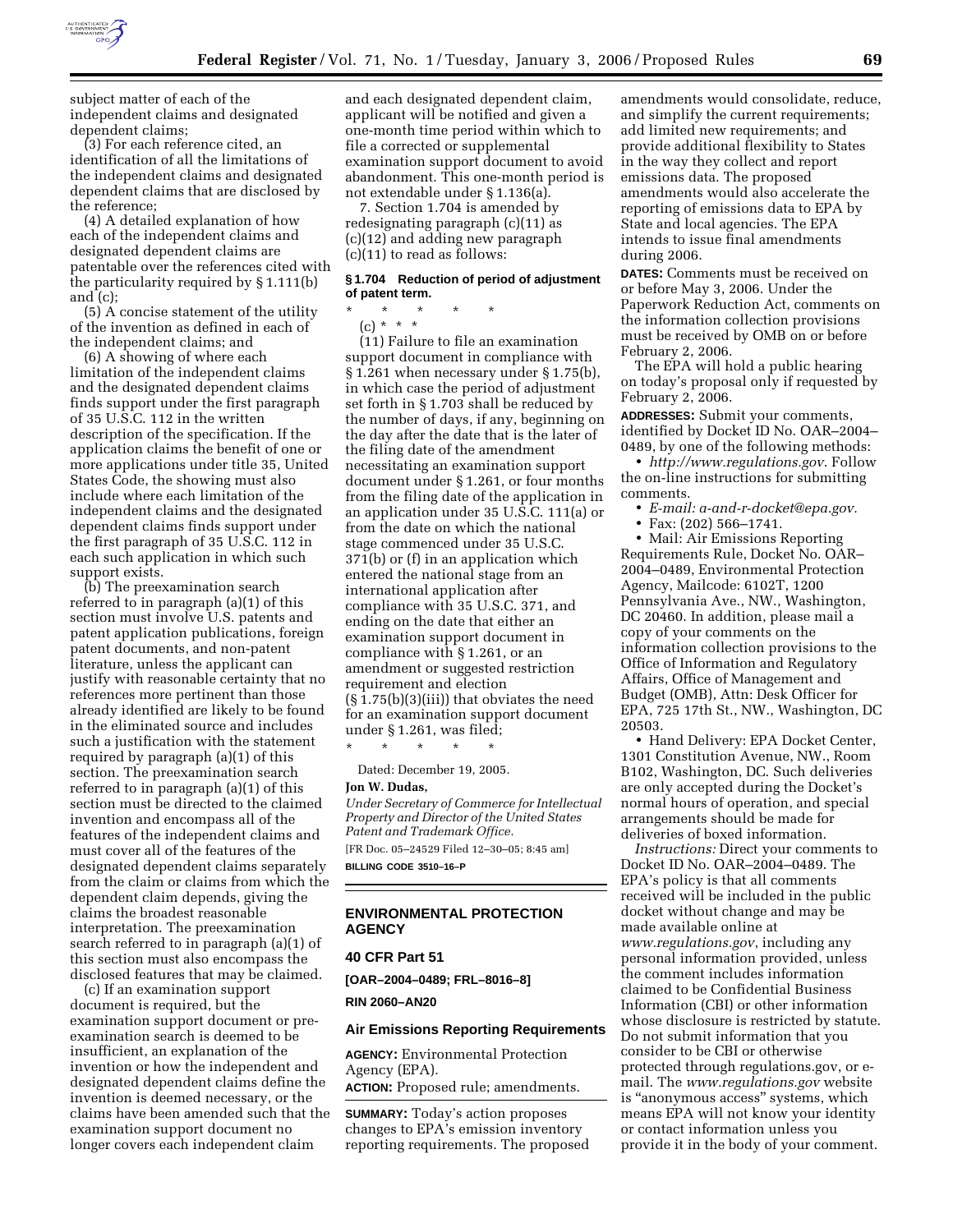

subject matter of each of the independent claims and designated dependent claims;

(3) For each reference cited, an identification of all the limitations of the independent claims and designated dependent claims that are disclosed by the reference;

(4) A detailed explanation of how each of the independent claims and designated dependent claims are patentable over the references cited with the particularity required by § 1.111(b) and (c);

(5) A concise statement of the utility of the invention as defined in each of the independent claims; and

(6) A showing of where each limitation of the independent claims and the designated dependent claims finds support under the first paragraph of 35 U.S.C. 112 in the written description of the specification. If the application claims the benefit of one or more applications under title 35, United States Code, the showing must also include where each limitation of the independent claims and the designated dependent claims finds support under the first paragraph of 35 U.S.C. 112 in each such application in which such support exists.

(b) The preexamination search referred to in paragraph (a)(1) of this section must involve U.S. patents and patent application publications, foreign patent documents, and non-patent literature, unless the applicant can justify with reasonable certainty that no references more pertinent than those already identified are likely to be found in the eliminated source and includes such a justification with the statement required by paragraph (a)(1) of this section. The preexamination search referred to in paragraph (a)(1) of this section must be directed to the claimed invention and encompass all of the features of the independent claims and must cover all of the features of the designated dependent claims separately from the claim or claims from which the dependent claim depends, giving the claims the broadest reasonable interpretation. The preexamination search referred to in paragraph (a)(1) of this section must also encompass the disclosed features that may be claimed.

(c) If an examination support document is required, but the examination support document or preexamination search is deemed to be insufficient, an explanation of the invention or how the independent and designated dependent claims define the invention is deemed necessary, or the claims have been amended such that the examination support document no longer covers each independent claim

and each designated dependent claim, applicant will be notified and given a one-month time period within which to file a corrected or supplemental examination support document to avoid abandonment. This one-month period is not extendable under § 1.136(a).

7. Section 1.704 is amended by redesignating paragraph (c)(11) as (c)(12) and adding new paragraph (c)(11) to read as follows:

## **§ 1.704 Reduction of period of adjustment of patent term.**

\* \* \* \* \* (c) \* \* \*

(11) Failure to file an examination support document in compliance with § 1.261 when necessary under § 1.75(b), in which case the period of adjustment set forth in § 1.703 shall be reduced by the number of days, if any, beginning on the day after the date that is the later of the filing date of the amendment necessitating an examination support document under § 1.261, or four months from the filing date of the application in an application under 35 U.S.C. 111(a) or from the date on which the national stage commenced under 35 U.S.C. 371(b) or (f) in an application which entered the national stage from an international application after compliance with 35 U.S.C. 371, and ending on the date that either an examination support document in compliance with § 1.261, or an amendment or suggested restriction requirement and election (§ 1.75(b)(3)(iii)) that obviates the need for an examination support document under § 1.261, was filed;

\* \* \* \* \* Dated: December 19, 2005.

#### **Jon W. Dudas,**

*Under Secretary of Commerce for Intellectual Property and Director of the United States Patent and Trademark Office.*  [FR Doc. 05–24529 Filed 12–30–05; 8:45 am]

**BILLING CODE 3510–16–P** 

# **ENVIRONMENTAL PROTECTION AGENCY**

## **40 CFR Part 51**

**[OAR–2004–0489; FRL–8016–8]** 

**RIN 2060–AN20** 

#### **Air Emissions Reporting Requirements**

**AGENCY:** Environmental Protection Agency (EPA).

**ACTION:** Proposed rule; amendments.

**SUMMARY:** Today's action proposes changes to EPA's emission inventory reporting requirements. The proposed

amendments would consolidate, reduce, and simplify the current requirements; add limited new requirements; and provide additional flexibility to States in the way they collect and report emissions data. The proposed amendments would also accelerate the reporting of emissions data to EPA by State and local agencies. The EPA intends to issue final amendments during 2006.

**DATES:** Comments must be received on or before May 3, 2006. Under the Paperwork Reduction Act, comments on the information collection provisions must be received by OMB on or before February 2, 2006.

The EPA will hold a public hearing on today's proposal only if requested by February 2, 2006.

**ADDRESSES:** Submit your comments, identified by Docket ID No. OAR–2004– 0489, by one of the following methods:

• *http://www.regulations.gov*. Follow the on-line instructions for submitting comments.

• *E-mail: a-and-r-docket@epa.gov.* 

• Fax: (202) 566–1741.

• Mail: Air Emissions Reporting Requirements Rule, Docket No. OAR– 2004–0489, Environmental Protection Agency, Mailcode: 6102T, 1200 Pennsylvania Ave., NW., Washington, DC 20460. In addition, please mail a copy of your comments on the information collection provisions to the Office of Information and Regulatory Affairs, Office of Management and Budget (OMB), Attn: Desk Officer for EPA, 725 17th St., NW., Washington, DC 20503.

• Hand Delivery: EPA Docket Center, 1301 Constitution Avenue, NW., Room B102, Washington, DC. Such deliveries are only accepted during the Docket's normal hours of operation, and special arrangements should be made for deliveries of boxed information.

*Instructions:* Direct your comments to Docket ID No. OAR–2004–0489. The EPA's policy is that all comments received will be included in the public docket without change and may be made available online at *www.regulations.gov*, including any personal information provided, unless the comment includes information claimed to be Confidential Business Information (CBI) or other information whose disclosure is restricted by statute. Do not submit information that you consider to be CBI or otherwise protected through regulations.gov, or email. The *www.regulations.gov* website is "anonymous access" systems, which means EPA will not know your identity or contact information unless you provide it in the body of your comment.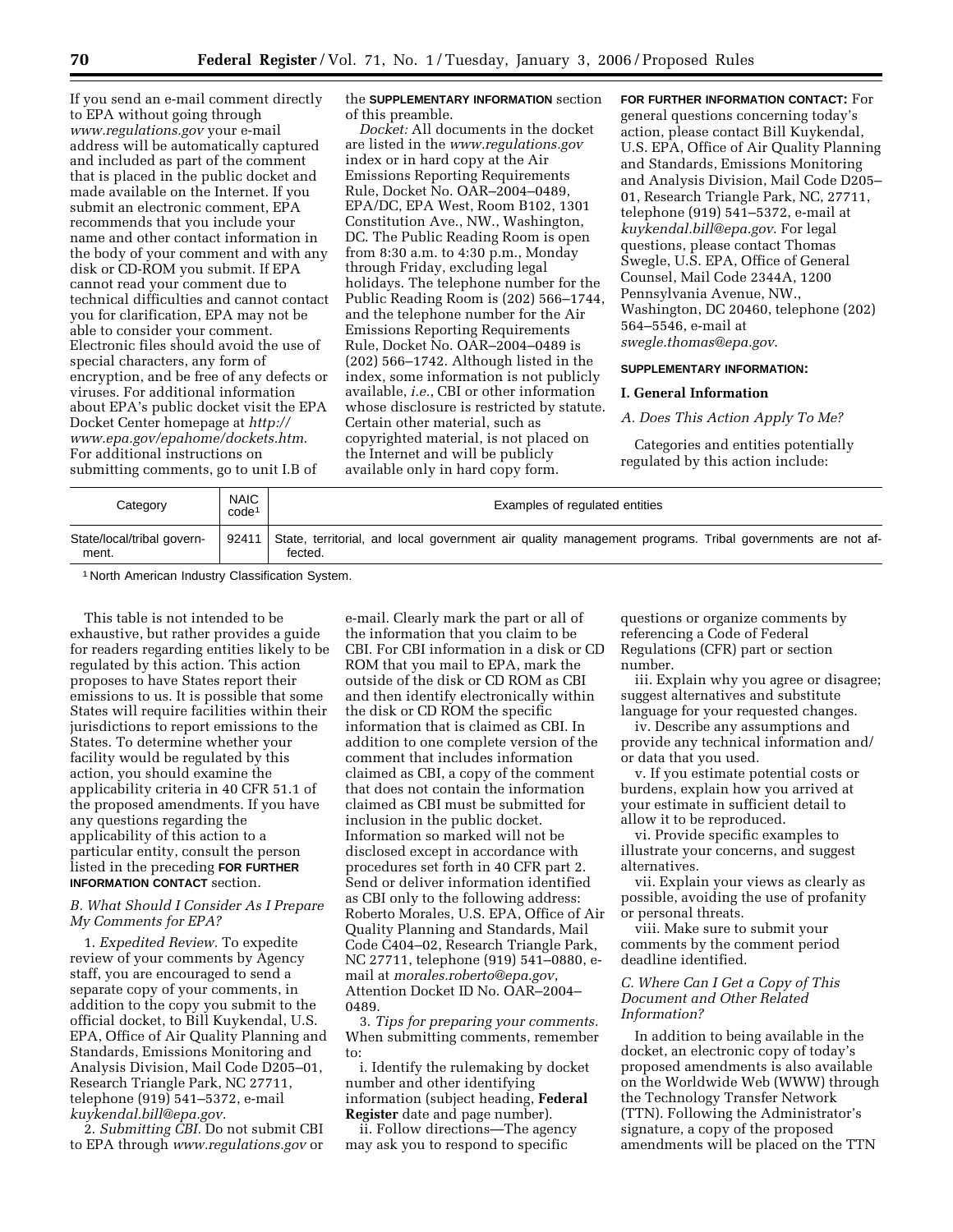If you send an e-mail comment directly to EPA without going through *www.regulations.gov* your e-mail address will be automatically captured and included as part of the comment that is placed in the public docket and made available on the Internet. If you submit an electronic comment, EPA recommends that you include your name and other contact information in the body of your comment and with any disk or CD-ROM you submit. If EPA cannot read your comment due to technical difficulties and cannot contact you for clarification, EPA may not be able to consider your comment. Electronic files should avoid the use of special characters, any form of encryption, and be free of any defects or viruses. For additional information about EPA's public docket visit the EPA Docket Center homepage at *http:// www.epa.gov/epahome/dockets.htm*. For additional instructions on submitting comments, go to unit I.B of

the **SUPPLEMENTARY INFORMATION** section of this preamble.

*Docket:* All documents in the docket are listed in the *www.regulations.gov*  index or in hard copy at the Air Emissions Reporting Requirements Rule, Docket No. OAR–2004–0489, EPA/DC, EPA West, Room B102, 1301 Constitution Ave., NW., Washington, DC. The Public Reading Room is open from 8:30 a.m. to 4:30 p.m., Monday through Friday, excluding legal holidays. The telephone number for the Public Reading Room is (202) 566–1744, and the telephone number for the Air Emissions Reporting Requirements Rule, Docket No. OAR–2004–0489 is (202) 566–1742. Although listed in the index, some information is not publicly available, *i.e.*, CBI or other information whose disclosure is restricted by statute. Certain other material, such as copyrighted material, is not placed on the Internet and will be publicly available only in hard copy form.

**FOR FURTHER INFORMATION CONTACT:** For general questions concerning today's action, please contact Bill Kuykendal, U.S. EPA, Office of Air Quality Planning and Standards, Emissions Monitoring and Analysis Division, Mail Code D205– 01, Research Triangle Park, NC, 27711, telephone (919) 541–5372, e-mail at *kuykendal.bill@epa.gov*. For legal questions, please contact Thomas Swegle, U.S. EPA, Office of General Counsel, Mail Code 2344A, 1200 Pennsylvania Avenue, NW., Washington, DC 20460, telephone (202) 564–5546, e-mail at *swegle.thomas@epa.gov*.

### **SUPPLEMENTARY INFORMATION:**

### **I. General Information**

*A. Does This Action Apply To Me?* 

Categories and entities potentially regulated by this action include:

| Category                            | <b>NAIC</b><br>code <sup>1</sup> | Examples of regulated entities                                                                                      |
|-------------------------------------|----------------------------------|---------------------------------------------------------------------------------------------------------------------|
| State/local/tribal govern-<br>ment. | 92411                            | State, territorial, and local government air quality management programs. Tribal governments are not af-<br>fected. |

1 North American Industry Classification System.

This table is not intended to be exhaustive, but rather provides a guide for readers regarding entities likely to be regulated by this action. This action proposes to have States report their emissions to us. It is possible that some States will require facilities within their jurisdictions to report emissions to the States. To determine whether your facility would be regulated by this action, you should examine the applicability criteria in 40 CFR 51.1 of the proposed amendments. If you have any questions regarding the applicability of this action to a particular entity, consult the person listed in the preceding **FOR FURTHER INFORMATION CONTACT** section.

# *B. What Should I Consider As I Prepare My Comments for EPA?*

1. *Expedited Review.* To expedite review of your comments by Agency staff, you are encouraged to send a separate copy of your comments, in addition to the copy you submit to the official docket, to Bill Kuykendal, U.S. EPA, Office of Air Quality Planning and Standards, Emissions Monitoring and Analysis Division, Mail Code D205–01, Research Triangle Park, NC 27711, telephone (919) 541–5372, e-mail *kuykendal.bill@epa.gov.* 

2. *Submitting CBI.* Do not submit CBI to EPA through *www.regulations.gov* or

e-mail. Clearly mark the part or all of the information that you claim to be CBI. For CBI information in a disk or CD ROM that you mail to EPA, mark the outside of the disk or CD ROM as CBI and then identify electronically within the disk or CD ROM the specific information that is claimed as CBI. In addition to one complete version of the comment that includes information claimed as CBI, a copy of the comment that does not contain the information claimed as CBI must be submitted for inclusion in the public docket. Information so marked will not be disclosed except in accordance with procedures set forth in 40 CFR part 2. Send or deliver information identified as CBI only to the following address: Roberto Morales, U.S. EPA, Office of Air Quality Planning and Standards, Mail Code C404–02, Research Triangle Park, NC 27711, telephone (919) 541–0880, email at *morales.roberto@epa.gov*, Attention Docket ID No. OAR–2004– 0489.

3. *Tips for preparing your comments.*  When submitting comments, remember to:

i. Identify the rulemaking by docket number and other identifying information (subject heading, **Federal Register** date and page number).

ii. Follow directions—The agency may ask you to respond to specific

questions or organize comments by referencing a Code of Federal Regulations (CFR) part or section number.

iii. Explain why you agree or disagree; suggest alternatives and substitute language for your requested changes.

iv. Describe any assumptions and provide any technical information and/ or data that you used.

v. If you estimate potential costs or burdens, explain how you arrived at your estimate in sufficient detail to allow it to be reproduced.

vi. Provide specific examples to illustrate your concerns, and suggest alternatives.

vii. Explain your views as clearly as possible, avoiding the use of profanity or personal threats.

viii. Make sure to submit your comments by the comment period deadline identified.

## *C. Where Can I Get a Copy of This Document and Other Related Information?*

In addition to being available in the docket, an electronic copy of today's proposed amendments is also available on the Worldwide Web (WWW) through the Technology Transfer Network (TTN). Following the Administrator's signature, a copy of the proposed amendments will be placed on the TTN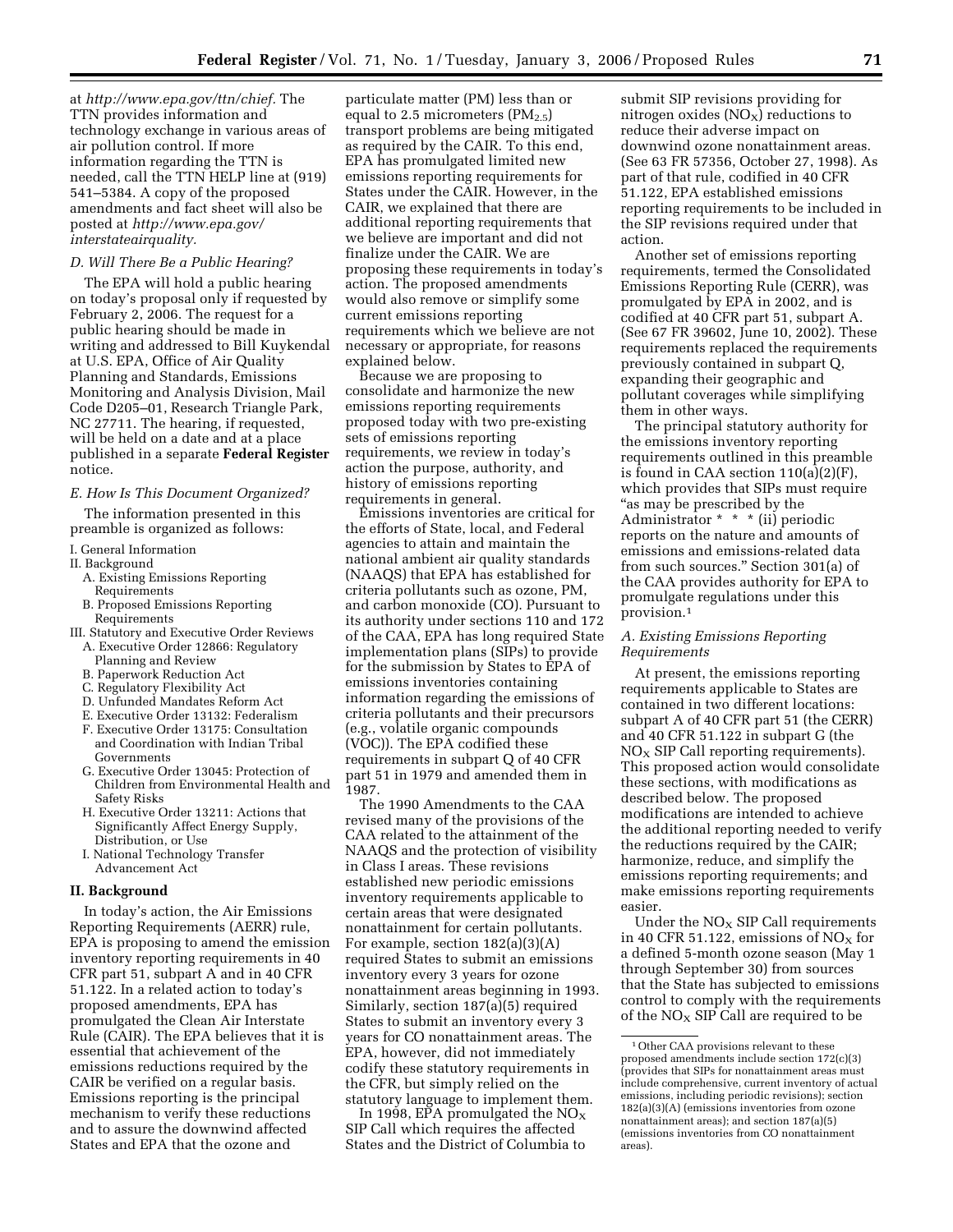at *http://www.epa.gov/ttn/chief.* The TTN provides information and technology exchange in various areas of air pollution control. If more information regarding the TTN is needed, call the TTN HELP line at (919) 541–5384. A copy of the proposed amendments and fact sheet will also be posted at *http://www.epa.gov/ interstateairquality.* 

## *D. Will There Be a Public Hearing?*

The EPA will hold a public hearing on today's proposal only if requested by February 2, 2006. The request for a public hearing should be made in writing and addressed to Bill Kuykendal at U.S. EPA, Office of Air Quality Planning and Standards, Emissions Monitoring and Analysis Division, Mail Code D205–01, Research Triangle Park, NC 27711. The hearing, if requested, will be held on a date and at a place published in a separate **Federal Register**  notice.

# *E. How Is This Document Organized?*

The information presented in this preamble is organized as follows:

- I. General Information
- II. Background
	- A. Existing Emissions Reporting
- Requirements
- B. Proposed Emissions Reporting Requirements
- III. Statutory and Executive Order Reviews
- A. Executive Order 12866: Regulatory Planning and Review
- B. Paperwork Reduction Act
- C. Regulatory Flexibility Act
- D. Unfunded Mandates Reform Act
- E. Executive Order 13132: Federalism
- F. Executive Order 13175: Consultation and Coordination with Indian Tribal Governments
- G. Executive Order 13045: Protection of Children from Environmental Health and Safety Risks
- H. Executive Order 13211: Actions that Significantly Affect Energy Supply, Distribution, or Use
- I. National Technology Transfer Advancement Act

### **II. Background**

In today's action, the Air Emissions Reporting Requirements (AERR) rule, EPA is proposing to amend the emission inventory reporting requirements in 40 CFR part 51, subpart A and in 40 CFR 51.122. In a related action to today's proposed amendments, EPA has promulgated the Clean Air Interstate Rule (CAIR). The EPA believes that it is essential that achievement of the emissions reductions required by the CAIR be verified on a regular basis. Emissions reporting is the principal mechanism to verify these reductions and to assure the downwind affected States and EPA that the ozone and

particulate matter (PM) less than or equal to 2.5 micrometers  $(PM_{2.5})$ transport problems are being mitigated as required by the CAIR. To this end, EPA has promulgated limited new emissions reporting requirements for States under the CAIR. However, in the CAIR, we explained that there are additional reporting requirements that we believe are important and did not finalize under the CAIR. We are proposing these requirements in today's action. The proposed amendments would also remove or simplify some current emissions reporting requirements which we believe are not necessary or appropriate, for reasons explained below.

Because we are proposing to consolidate and harmonize the new emissions reporting requirements proposed today with two pre-existing sets of emissions reporting requirements, we review in today's action the purpose, authority, and history of emissions reporting requirements in general.

Emissions inventories are critical for the efforts of State, local, and Federal agencies to attain and maintain the national ambient air quality standards (NAAQS) that EPA has established for criteria pollutants such as ozone, PM, and carbon monoxide (CO). Pursuant to its authority under sections 110 and 172 of the CAA, EPA has long required State implementation plans (SIPs) to provide for the submission by States to EPA of emissions inventories containing information regarding the emissions of criteria pollutants and their precursors (e.g., volatile organic compounds (VOC)). The EPA codified these requirements in subpart Q of 40 CFR part 51 in 1979 and amended them in 1987.

The 1990 Amendments to the CAA revised many of the provisions of the CAA related to the attainment of the NAAQS and the protection of visibility in Class I areas. These revisions established new periodic emissions inventory requirements applicable to certain areas that were designated nonattainment for certain pollutants. For example, section 182(a)(3)(A) required States to submit an emissions inventory every 3 years for ozone nonattainment areas beginning in 1993. Similarly, section 187(a)(5) required States to submit an inventory every 3 years for CO nonattainment areas. The EPA, however, did not immediately codify these statutory requirements in the CFR, but simply relied on the statutory language to implement them.

In 1998, EPA promulgated the  $NO<sub>x</sub>$ SIP Call which requires the affected States and the District of Columbia to

submit SIP revisions providing for nitrogen oxides  $(NO<sub>X</sub>)$  reductions to reduce their adverse impact on downwind ozone nonattainment areas. (See 63 FR 57356, October 27, 1998). As part of that rule, codified in 40 CFR 51.122, EPA established emissions reporting requirements to be included in the SIP revisions required under that action.

Another set of emissions reporting requirements, termed the Consolidated Emissions Reporting Rule (CERR), was promulgated by EPA in 2002, and is codified at 40 CFR part 51, subpart A. (See 67 FR 39602, June 10, 2002). These requirements replaced the requirements previously contained in subpart Q, expanding their geographic and pollutant coverages while simplifying them in other ways.

The principal statutory authority for the emissions inventory reporting requirements outlined in this preamble is found in CAA section 110(a)(2)(F), which provides that SIPs must require ''as may be prescribed by the Administrator \* \* \* (ii) periodic reports on the nature and amounts of emissions and emissions-related data from such sources.'' Section 301(a) of the CAA provides authority for EPA to promulgate regulations under this provision.1

## *A. Existing Emissions Reporting Requirements*

At present, the emissions reporting requirements applicable to States are contained in two different locations: subpart A of 40 CFR part 51 (the CERR) and 40 CFR 51.122 in subpart G (the  $NO<sub>x</sub>$  SIP Call reporting requirements). This proposed action would consolidate these sections, with modifications as described below. The proposed modifications are intended to achieve the additional reporting needed to verify the reductions required by the CAIR; harmonize, reduce, and simplify the emissions reporting requirements; and make emissions reporting requirements easier.

Under the  $NO<sub>X</sub>$  SIP Call requirements in 40 CFR 51.122, emissions of  $NO<sub>x</sub>$  for a defined 5-month ozone season (May 1 through September 30) from sources that the State has subjected to emissions control to comply with the requirements of the  $NO<sub>X</sub>$  SIP Call are required to be

<sup>&</sup>lt;sup>1</sup> Other CAA provisions relevant to these proposed amendments include section 172(c)(3) (provides that SIPs for nonattainment areas must include comprehensive, current inventory of actual emissions, including periodic revisions); section 182(a)(3)(A) (emissions inventories from ozone nonattainment areas); and section 187(a)(5) (emissions inventories from CO nonattainment areas).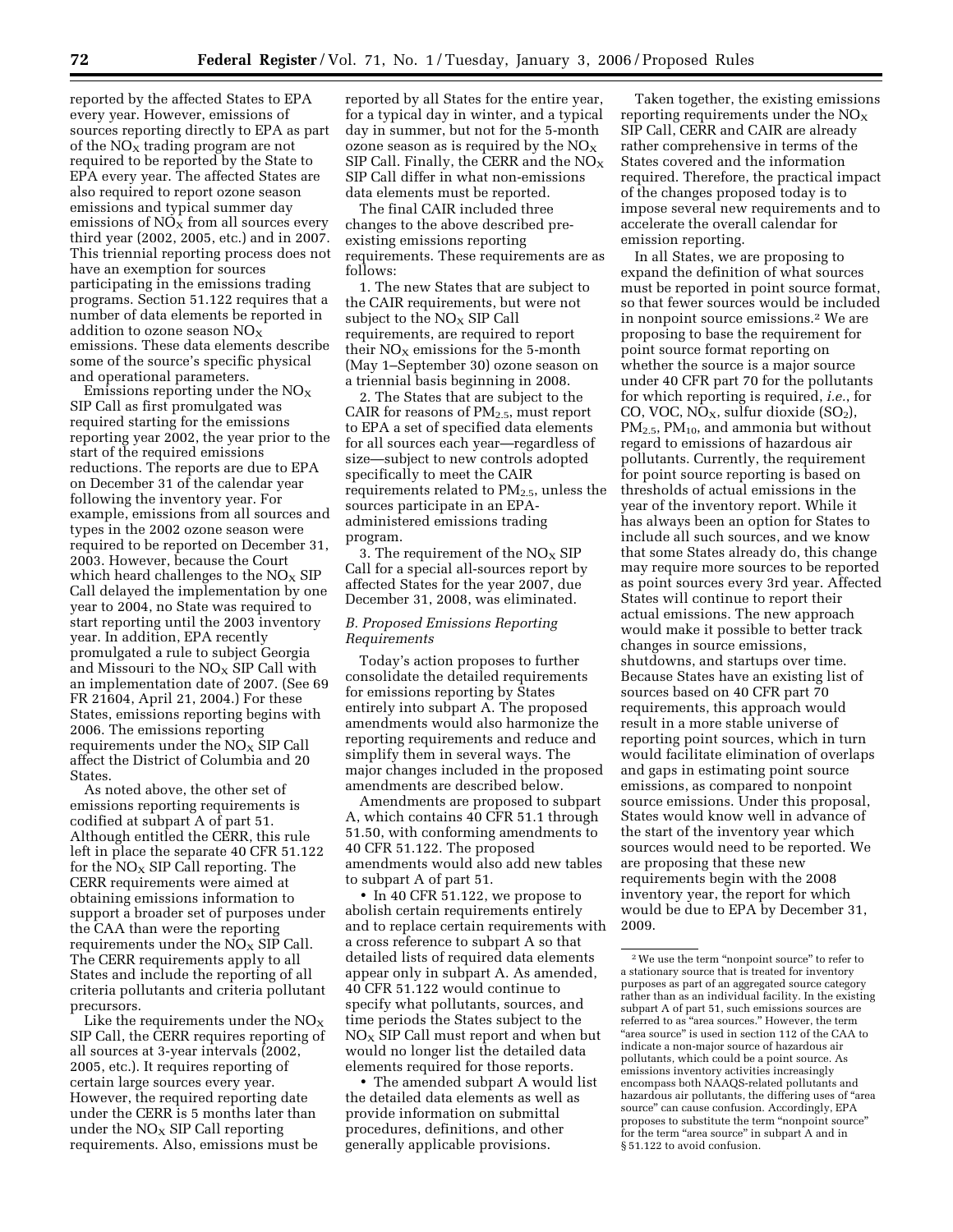reported by the affected States to EPA every year. However, emissions of sources reporting directly to EPA as part of the  $NO<sub>x</sub>$  trading program are not required to be reported by the State to EPA every year. The affected States are also required to report ozone season emissions and typical summer day emissions of  $NO<sub>x</sub>$  from all sources every third year (2002, 2005, etc.) and in 2007. This triennial reporting process does not have an exemption for sources participating in the emissions trading programs. Section 51.122 requires that a number of data elements be reported in addition to ozone season  $NO<sub>X</sub>$ emissions. These data elements describe some of the source's specific physical and operational parameters.

Emissions reporting under the  $\rm NO_X$ SIP Call as first promulgated was required starting for the emissions reporting year 2002, the year prior to the start of the required emissions reductions. The reports are due to EPA on December 31 of the calendar year following the inventory year. For example, emissions from all sources and types in the 2002 ozone season were required to be reported on December 31, 2003. However, because the Court which heard challenges to the  $NO<sub>X</sub>$  SIP Call delayed the implementation by one year to 2004, no State was required to start reporting until the 2003 inventory year. In addition, EPA recently promulgated a rule to subject Georgia and Missouri to the  $NO<sub>X</sub>$  SIP Call with an implementation date of 2007. (See 69 FR 21604, April 21, 2004.) For these States, emissions reporting begins with 2006. The emissions reporting requirements under the NO<sub>X</sub> SIP Call affect the District of Columbia and 20 States.

As noted above, the other set of emissions reporting requirements is codified at subpart A of part 51. Although entitled the CERR, this rule left in place the separate 40 CFR 51.122 for the  $NO<sub>X</sub>$  SIP Call reporting. The CERR requirements were aimed at obtaining emissions information to support a broader set of purposes under the CAA than were the reporting requirements under the  $\overline{NO_X}$  SIP Call. The CERR requirements apply to all States and include the reporting of all criteria pollutants and criteria pollutant precursors.

Like the requirements under the  $NO<sub>X</sub>$ SIP Call, the CERR requires reporting of all sources at 3-year intervals (2002, 2005, etc.). It requires reporting of certain large sources every year. However, the required reporting date under the CERR is 5 months later than under the  $NO<sub>x</sub>$  SIP Call reporting requirements. Also, emissions must be

reported by all States for the entire year, for a typical day in winter, and a typical day in summer, but not for the 5-month ozone season as is required by the  $NO<sub>x</sub>$ SIP Call. Finally, the CERR and the  $NO<sub>X</sub>$ SIP Call differ in what non-emissions data elements must be reported.

The final CAIR included three changes to the above described preexisting emissions reporting requirements. These requirements are as follows:

1. The new States that are subject to the CAIR requirements, but were not subject to the  $NO<sub>x</sub>$  SIP Call requirements, are required to report their  $NO<sub>X</sub>$  emissions for the 5-month (May 1–September 30) ozone season on a triennial basis beginning in 2008.

2. The States that are subject to the CAIR for reasons of  $PM_{2.5}$ , must report to EPA a set of specified data elements for all sources each year—regardless of size—subject to new controls adopted specifically to meet the CAIR requirements related to PM2.5, unless the sources participate in an EPAadministered emissions trading program.

3. The requirement of the  $NO<sub>x</sub>$  SIP Call for a special all-sources report by affected States for the year 2007, due December 31, 2008, was eliminated.

# *B. Proposed Emissions Reporting Requirements*

Today's action proposes to further consolidate the detailed requirements for emissions reporting by States entirely into subpart A. The proposed amendments would also harmonize the reporting requirements and reduce and simplify them in several ways. The major changes included in the proposed amendments are described below.

Amendments are proposed to subpart A, which contains 40 CFR 51.1 through 51.50, with conforming amendments to 40 CFR 51.122. The proposed amendments would also add new tables to subpart A of part 51.

• In 40 CFR 51.122, we propose to abolish certain requirements entirely and to replace certain requirements with a cross reference to subpart A so that detailed lists of required data elements appear only in subpart A. As amended, 40 CFR 51.122 would continue to specify what pollutants, sources, and time periods the States subject to the  $NO<sub>x</sub>$  SIP Call must report and when but would no longer list the detailed data elements required for those reports.

• The amended subpart A would list the detailed data elements as well as provide information on submittal procedures, definitions, and other generally applicable provisions.

Taken together, the existing emissions reporting requirements under the  $NO<sub>X</sub>$ SIP Call, CERR and CAIR are already rather comprehensive in terms of the States covered and the information required. Therefore, the practical impact of the changes proposed today is to impose several new requirements and to accelerate the overall calendar for emission reporting.

In all States, we are proposing to expand the definition of what sources must be reported in point source format, so that fewer sources would be included in nonpoint source emissions.2 We are proposing to base the requirement for point source format reporting on whether the source is a major source under 40 CFR part 70 for the pollutants for which reporting is required, *i.e.*, for CO, VOC,  $NO<sub>X</sub>$ , sulfur dioxide  $(SO<sub>2</sub>)$ ,  $PM_{2.5}$ ,  $PM_{10}$ , and ammonia but without regard to emissions of hazardous air pollutants. Currently, the requirement for point source reporting is based on thresholds of actual emissions in the year of the inventory report. While it has always been an option for States to include all such sources, and we know that some States already do, this change may require more sources to be reported as point sources every 3rd year. Affected States will continue to report their actual emissions. The new approach would make it possible to better track changes in source emissions, shutdowns, and startups over time. Because States have an existing list of sources based on 40 CFR part 70 requirements, this approach would result in a more stable universe of reporting point sources, which in turn would facilitate elimination of overlaps and gaps in estimating point source emissions, as compared to nonpoint source emissions. Under this proposal, States would know well in advance of the start of the inventory year which sources would need to be reported. We are proposing that these new requirements begin with the 2008 inventory year, the report for which would be due to EPA by December 31, 2009.

 $\sqrt[2]{2}$  We use the term "nonpoint source" to refer to a stationary source that is treated for inventory purposes as part of an aggregated source category rather than as an individual facility. In the existing subpart A of part 51, such emissions sources are referred to as ''area sources.'' However, the term "area source" is used in section 112 of the CAA to indicate a non-major source of hazardous air pollutants, which could be a point source. As emissions inventory activities increasingly encompass both NAAQS-related pollutants and hazardous air pollutants, the differing uses of "area source'' can cause confusion. Accordingly, EPA proposes to substitute the term "nonpoint source" for the term "area source" in subpart A and in § 51.122 to avoid confusion.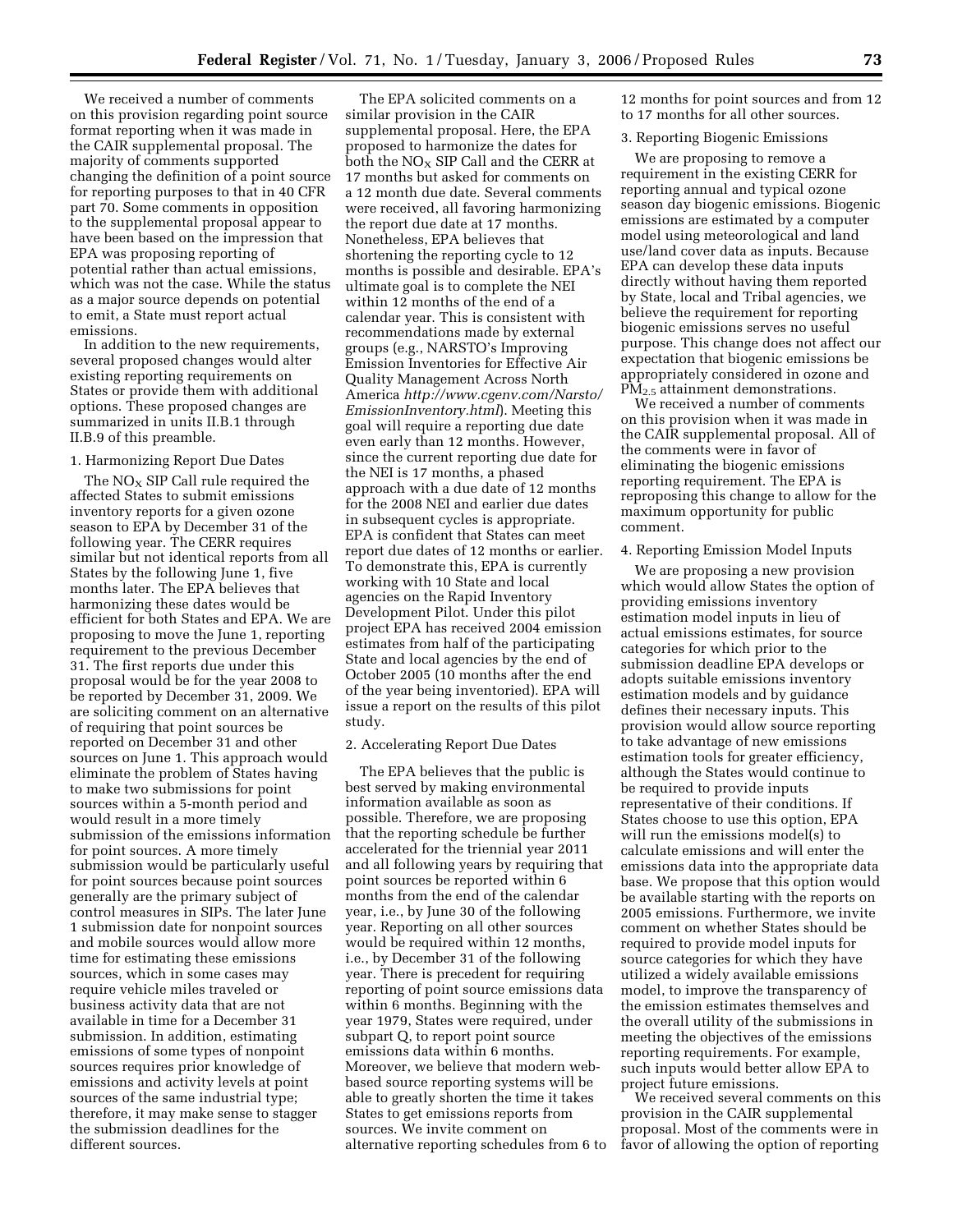We received a number of comments on this provision regarding point source format reporting when it was made in the CAIR supplemental proposal. The majority of comments supported changing the definition of a point source for reporting purposes to that in 40 CFR part 70. Some comments in opposition to the supplemental proposal appear to have been based on the impression that EPA was proposing reporting of potential rather than actual emissions, which was not the case. While the status as a major source depends on potential to emit, a State must report actual emissions.

In addition to the new requirements, several proposed changes would alter existing reporting requirements on States or provide them with additional options. These proposed changes are summarized in units II.B.1 through II.B.9 of this preamble.

### 1. Harmonizing Report Due Dates

The  $NO<sub>x</sub>$  SIP Call rule required the affected States to submit emissions inventory reports for a given ozone season to EPA by December 31 of the following year. The CERR requires similar but not identical reports from all States by the following June 1, five months later. The EPA believes that harmonizing these dates would be efficient for both States and EPA. We are proposing to move the June 1, reporting requirement to the previous December 31. The first reports due under this proposal would be for the year 2008 to be reported by December 31, 2009. We are soliciting comment on an alternative of requiring that point sources be reported on December 31 and other sources on June 1. This approach would eliminate the problem of States having to make two submissions for point sources within a 5-month period and would result in a more timely submission of the emissions information for point sources. A more timely submission would be particularly useful for point sources because point sources generally are the primary subject of control measures in SIPs. The later June 1 submission date for nonpoint sources and mobile sources would allow more time for estimating these emissions sources, which in some cases may require vehicle miles traveled or business activity data that are not available in time for a December 31 submission. In addition, estimating emissions of some types of nonpoint sources requires prior knowledge of emissions and activity levels at point sources of the same industrial type; therefore, it may make sense to stagger the submission deadlines for the different sources.

The EPA solicited comments on a similar provision in the CAIR supplemental proposal. Here, the EPA proposed to harmonize the dates for both the  $NO<sub>X</sub>$  SIP Call and the CERR at 17 months but asked for comments on a 12 month due date. Several comments were received, all favoring harmonizing the report due date at 17 months. Nonetheless, EPA believes that shortening the reporting cycle to 12 months is possible and desirable. EPA's ultimate goal is to complete the NEI within 12 months of the end of a calendar year. This is consistent with recommendations made by external groups (e.g., NARSTO's Improving Emission Inventories for Effective Air Quality Management Across North America *http://www.cgenv.com/Narsto/ EmissionInventory.html*). Meeting this goal will require a reporting due date even early than 12 months. However, since the current reporting due date for the NEI is 17 months, a phased approach with a due date of 12 months for the 2008 NEI and earlier due dates in subsequent cycles is appropriate. EPA is confident that States can meet report due dates of 12 months or earlier. To demonstrate this, EPA is currently working with 10 State and local agencies on the Rapid Inventory Development Pilot. Under this pilot project EPA has received 2004 emission estimates from half of the participating State and local agencies by the end of October 2005 (10 months after the end of the year being inventoried). EPA will issue a report on the results of this pilot study.

### 2. Accelerating Report Due Dates

The EPA believes that the public is best served by making environmental information available as soon as possible. Therefore, we are proposing that the reporting schedule be further accelerated for the triennial year 2011 and all following years by requiring that point sources be reported within 6 months from the end of the calendar year, i.e., by June 30 of the following year. Reporting on all other sources would be required within 12 months, i.e., by December 31 of the following year. There is precedent for requiring reporting of point source emissions data within 6 months. Beginning with the year 1979, States were required, under subpart Q, to report point source emissions data within 6 months. Moreover, we believe that modern webbased source reporting systems will be able to greatly shorten the time it takes States to get emissions reports from sources. We invite comment on alternative reporting schedules from 6 to 12 months for point sources and from 12 to 17 months for all other sources.

### 3. Reporting Biogenic Emissions

We are proposing to remove a requirement in the existing CERR for reporting annual and typical ozone season day biogenic emissions. Biogenic emissions are estimated by a computer model using meteorological and land use/land cover data as inputs. Because EPA can develop these data inputs directly without having them reported by State, local and Tribal agencies, we believe the requirement for reporting biogenic emissions serves no useful purpose. This change does not affect our expectation that biogenic emissions be appropriately considered in ozone and PM2.5 attainment demonstrations.

We received a number of comments on this provision when it was made in the CAIR supplemental proposal. All of the comments were in favor of eliminating the biogenic emissions reporting requirement. The EPA is reproposing this change to allow for the maximum opportunity for public comment.

## 4. Reporting Emission Model Inputs

We are proposing a new provision which would allow States the option of providing emissions inventory estimation model inputs in lieu of actual emissions estimates, for source categories for which prior to the submission deadline EPA develops or adopts suitable emissions inventory estimation models and by guidance defines their necessary inputs. This provision would allow source reporting to take advantage of new emissions estimation tools for greater efficiency, although the States would continue to be required to provide inputs representative of their conditions. If States choose to use this option, EPA will run the emissions model(s) to calculate emissions and will enter the emissions data into the appropriate data base. We propose that this option would be available starting with the reports on 2005 emissions. Furthermore, we invite comment on whether States should be required to provide model inputs for source categories for which they have utilized a widely available emissions model, to improve the transparency of the emission estimates themselves and the overall utility of the submissions in meeting the objectives of the emissions reporting requirements. For example, such inputs would better allow EPA to project future emissions.

We received several comments on this provision in the CAIR supplemental proposal. Most of the comments were in favor of allowing the option of reporting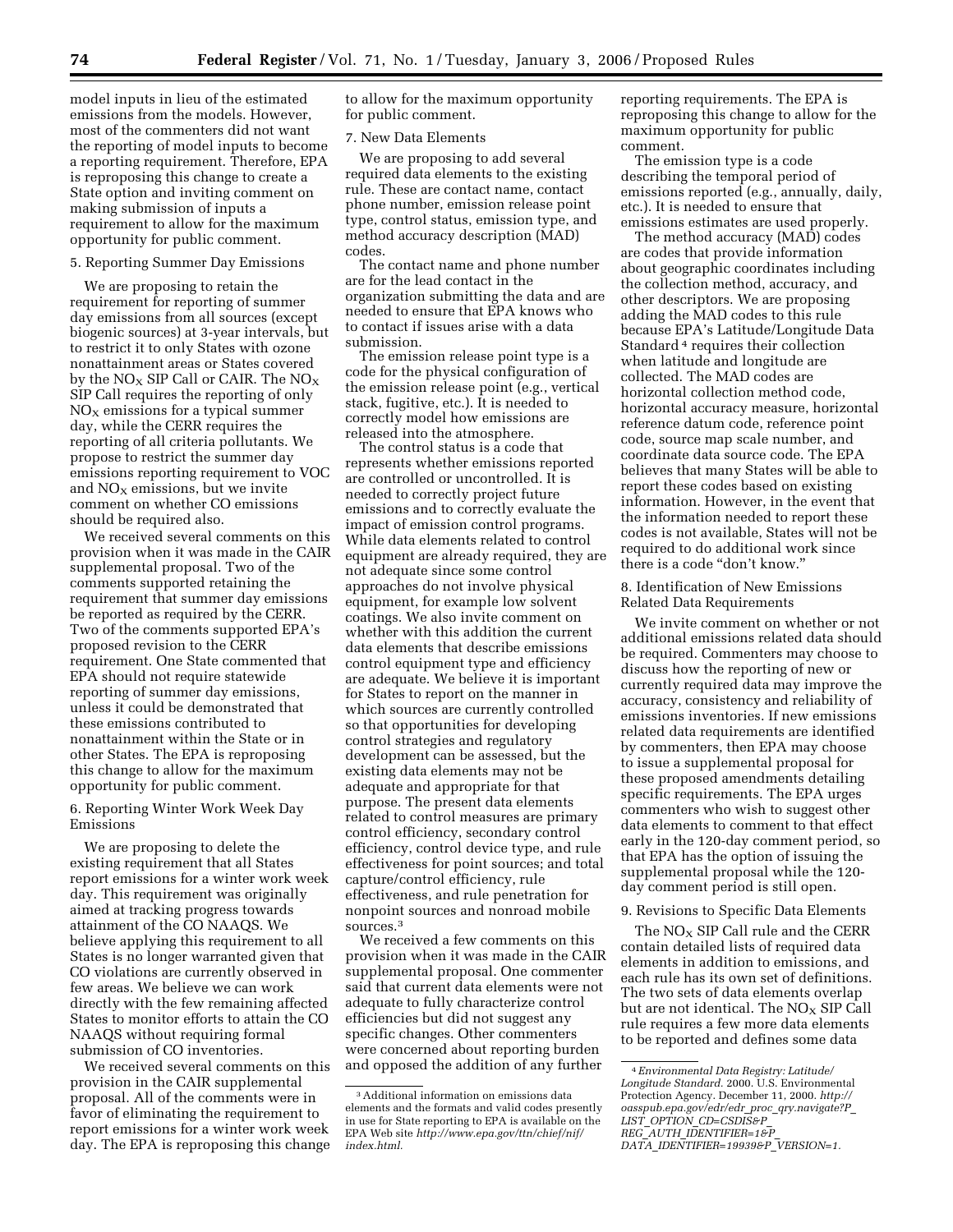model inputs in lieu of the estimated emissions from the models. However, most of the commenters did not want the reporting of model inputs to become a reporting requirement. Therefore, EPA is reproposing this change to create a State option and inviting comment on making submission of inputs a requirement to allow for the maximum opportunity for public comment.

## 5. Reporting Summer Day Emissions

We are proposing to retain the requirement for reporting of summer day emissions from all sources (except biogenic sources) at 3-year intervals, but to restrict it to only States with ozone nonattainment areas or States covered by the  $NO<sub>X</sub>$  SIP Call or CAIR. The  $NO<sub>X</sub>$ SIP Call requires the reporting of only  $NO<sub>x</sub>$  emissions for a typical summer day, while the CERR requires the reporting of all criteria pollutants. We propose to restrict the summer day emissions reporting requirement to VOC and  $NO<sub>X</sub>$  emissions, but we invite comment on whether CO emissions should be required also.

We received several comments on this provision when it was made in the CAIR supplemental proposal. Two of the comments supported retaining the requirement that summer day emissions be reported as required by the CERR. Two of the comments supported EPA's proposed revision to the CERR requirement. One State commented that EPA should not require statewide reporting of summer day emissions, unless it could be demonstrated that these emissions contributed to nonattainment within the State or in other States. The EPA is reproposing this change to allow for the maximum opportunity for public comment.

# 6. Reporting Winter Work Week Day Emissions

We are proposing to delete the existing requirement that all States report emissions for a winter work week day. This requirement was originally aimed at tracking progress towards attainment of the CO NAAQS. We believe applying this requirement to all States is no longer warranted given that CO violations are currently observed in few areas. We believe we can work directly with the few remaining affected States to monitor efforts to attain the CO NAAQS without requiring formal submission of CO inventories.

We received several comments on this provision in the CAIR supplemental proposal. All of the comments were in favor of eliminating the requirement to report emissions for a winter work week day. The EPA is reproposing this change to allow for the maximum opportunity for public comment.

## 7. New Data Elements

We are proposing to add several required data elements to the existing rule. These are contact name, contact phone number, emission release point type, control status, emission type, and method accuracy description (MAD) codes.

The contact name and phone number are for the lead contact in the organization submitting the data and are needed to ensure that EPA knows who to contact if issues arise with a data submission.

The emission release point type is a code for the physical configuration of the emission release point (e.g., vertical stack, fugitive, etc.). It is needed to correctly model how emissions are released into the atmosphere.

The control status is a code that represents whether emissions reported are controlled or uncontrolled. It is needed to correctly project future emissions and to correctly evaluate the impact of emission control programs. While data elements related to control equipment are already required, they are not adequate since some control approaches do not involve physical equipment, for example low solvent coatings. We also invite comment on whether with this addition the current data elements that describe emissions control equipment type and efficiency are adequate. We believe it is important for States to report on the manner in which sources are currently controlled so that opportunities for developing control strategies and regulatory development can be assessed, but the existing data elements may not be adequate and appropriate for that purpose. The present data elements related to control measures are primary control efficiency, secondary control efficiency, control device type, and rule effectiveness for point sources; and total capture/control efficiency, rule effectiveness, and rule penetration for nonpoint sources and nonroad mobile sources.3

We received a few comments on this provision when it was made in the CAIR supplemental proposal. One commenter said that current data elements were not adequate to fully characterize control efficiencies but did not suggest any specific changes. Other commenters were concerned about reporting burden and opposed the addition of any further

reporting requirements. The EPA is reproposing this change to allow for the maximum opportunity for public comment.

The emission type is a code describing the temporal period of emissions reported (e.g., annually, daily, etc.). It is needed to ensure that emissions estimates are used properly.

The method accuracy (MAD) codes are codes that provide information about geographic coordinates including the collection method, accuracy, and other descriptors. We are proposing adding the MAD codes to this rule because EPA's Latitude/Longitude Data Standard 4 requires their collection when latitude and longitude are collected. The MAD codes are horizontal collection method code, horizontal accuracy measure, horizontal reference datum code, reference point code, source map scale number, and coordinate data source code. The EPA believes that many States will be able to report these codes based on existing information. However, in the event that the information needed to report these codes is not available, States will not be required to do additional work since there is a code "don't know."

8. Identification of New Emissions Related Data Requirements

We invite comment on whether or not additional emissions related data should be required. Commenters may choose to discuss how the reporting of new or currently required data may improve the accuracy, consistency and reliability of emissions inventories. If new emissions related data requirements are identified by commenters, then EPA may choose to issue a supplemental proposal for these proposed amendments detailing specific requirements. The EPA urges commenters who wish to suggest other data elements to comment to that effect early in the 120-day comment period, so that EPA has the option of issuing the supplemental proposal while the 120 day comment period is still open.

## 9. Revisions to Specific Data Elements

The  $NO<sub>x</sub>$  SIP Call rule and the CERR contain detailed lists of required data elements in addition to emissions, and each rule has its own set of definitions. The two sets of data elements overlap but are not identical. The  $NO<sub>X</sub>$  SIP Call rule requires a few more data elements to be reported and defines some data

<sup>3</sup>Additional information on emissions data elements and the formats and valid codes presently in use for State reporting to EPA is available on the EPA Web site *http://www.epa.gov/ttn/chief/nif/ index.html.* 

<sup>4</sup>*Environmental Data Registry: Latitude/ Longitude Standard.* 2000. U.S. Environmental Protection Agency. December 11, 2000. *http:// oasspub.epa.gov/edr/edr*\_*proc*\_*qry.navigate?P*\_ *LIST*\_*OPTION*\_*CD=CSDIS&P*\_ *REG*\_*AUTH*\_*IDENTIFIER=1&P*\_ *DATA*\_*IDENTIFIER=19939&P*\_*VERSION=1.*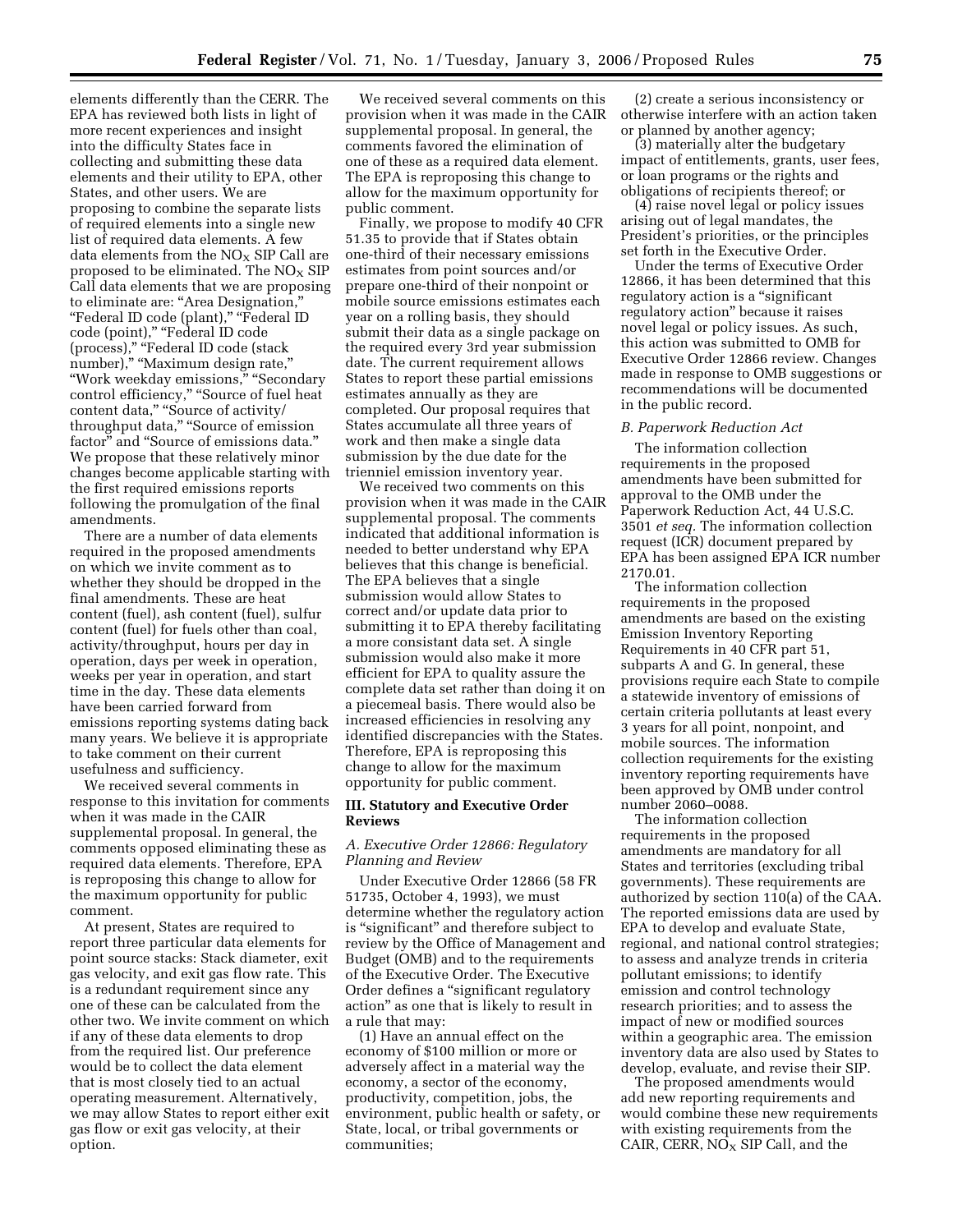elements differently than the CERR. The EPA has reviewed both lists in light of more recent experiences and insight into the difficulty States face in collecting and submitting these data elements and their utility to EPA, other States, and other users. We are proposing to combine the separate lists of required elements into a single new list of required data elements. A few data elements from the  $NO<sub>X</sub>$  SIP Call are proposed to be eliminated. The  $NO<sub>x</sub>$  SIP Call data elements that we are proposing to eliminate are: ''Area Designation,'' "Federal ID code (plant)," "Federal ID code (point)," "Federal ID code (process),'' ''Federal ID code (stack number)," "Maximum design rate," ''Work weekday emissions,'' ''Secondary control efficiency," "Source of fuel heat content data," "Source of activity/ throughput data," "Source of emission factor'' and ''Source of emissions data.'' We propose that these relatively minor changes become applicable starting with the first required emissions reports following the promulgation of the final amendments.

There are a number of data elements required in the proposed amendments on which we invite comment as to whether they should be dropped in the final amendments. These are heat content (fuel), ash content (fuel), sulfur content (fuel) for fuels other than coal, activity/throughput, hours per day in operation, days per week in operation, weeks per year in operation, and start time in the day. These data elements have been carried forward from emissions reporting systems dating back many years. We believe it is appropriate to take comment on their current usefulness and sufficiency.

We received several comments in response to this invitation for comments when it was made in the CAIR supplemental proposal. In general, the comments opposed eliminating these as required data elements. Therefore, EPA is reproposing this change to allow for the maximum opportunity for public comment.

At present, States are required to report three particular data elements for point source stacks: Stack diameter, exit gas velocity, and exit gas flow rate. This is a redundant requirement since any one of these can be calculated from the other two. We invite comment on which if any of these data elements to drop from the required list. Our preference would be to collect the data element that is most closely tied to an actual operating measurement. Alternatively, we may allow States to report either exit gas flow or exit gas velocity, at their option.

We received several comments on this provision when it was made in the CAIR supplemental proposal. In general, the comments favored the elimination of one of these as a required data element. The EPA is reproposing this change to allow for the maximum opportunity for public comment.

Finally, we propose to modify 40 CFR 51.35 to provide that if States obtain one-third of their necessary emissions estimates from point sources and/or prepare one-third of their nonpoint or mobile source emissions estimates each year on a rolling basis, they should submit their data as a single package on the required every 3rd year submission date. The current requirement allows States to report these partial emissions estimates annually as they are completed. Our proposal requires that States accumulate all three years of work and then make a single data submission by the due date for the trienniel emission inventory year.

We received two comments on this provision when it was made in the CAIR supplemental proposal. The comments indicated that additional information is needed to better understand why EPA believes that this change is beneficial. The EPA believes that a single submission would allow States to correct and/or update data prior to submitting it to EPA thereby facilitating a more consistant data set. A single submission would also make it more efficient for EPA to quality assure the complete data set rather than doing it on a piecemeal basis. There would also be increased efficiencies in resolving any identified discrepancies with the States. Therefore, EPA is reproposing this change to allow for the maximum opportunity for public comment.

## **III. Statutory and Executive Order Reviews**

# *A. Executive Order 12866: Regulatory Planning and Review*

Under Executive Order 12866 (58 FR 51735, October 4, 1993), we must determine whether the regulatory action is ''significant'' and therefore subject to review by the Office of Management and Budget (OMB) and to the requirements of the Executive Order. The Executive Order defines a ''significant regulatory action'' as one that is likely to result in a rule that may:

(1) Have an annual effect on the economy of \$100 million or more or adversely affect in a material way the economy, a sector of the economy, productivity, competition, jobs, the environment, public health or safety, or State, local, or tribal governments or communities;

(2) create a serious inconsistency or otherwise interfere with an action taken or planned by another agency;

(3) materially alter the budgetary impact of entitlements, grants, user fees, or loan programs or the rights and obligations of recipients thereof; or

(4) raise novel legal or policy issues arising out of legal mandates, the President's priorities, or the principles set forth in the Executive Order.

Under the terms of Executive Order 12866, it has been determined that this regulatory action is a "significant regulatory action'' because it raises novel legal or policy issues. As such, this action was submitted to OMB for Executive Order 12866 review. Changes made in response to OMB suggestions or recommendations will be documented in the public record.

# *B. Paperwork Reduction Act*

The information collection requirements in the proposed amendments have been submitted for approval to the OMB under the Paperwork Reduction Act, 44 U.S.C. 3501 *et seq.* The information collection request (ICR) document prepared by EPA has been assigned EPA ICR number 2170.01.

The information collection requirements in the proposed amendments are based on the existing Emission Inventory Reporting Requirements in 40 CFR part 51, subparts A and G. In general, these provisions require each State to compile a statewide inventory of emissions of certain criteria pollutants at least every 3 years for all point, nonpoint, and mobile sources. The information collection requirements for the existing inventory reporting requirements have been approved by OMB under control number 2060–0088.

The information collection requirements in the proposed amendments are mandatory for all States and territories (excluding tribal governments). These requirements are authorized by section 110(a) of the CAA. The reported emissions data are used by EPA to develop and evaluate State, regional, and national control strategies; to assess and analyze trends in criteria pollutant emissions; to identify emission and control technology research priorities; and to assess the impact of new or modified sources within a geographic area. The emission inventory data are also used by States to develop, evaluate, and revise their SIP.

The proposed amendments would add new reporting requirements and would combine these new requirements with existing requirements from the CAIR, CERR,  $NO<sub>X</sub>$  SIP Call, and the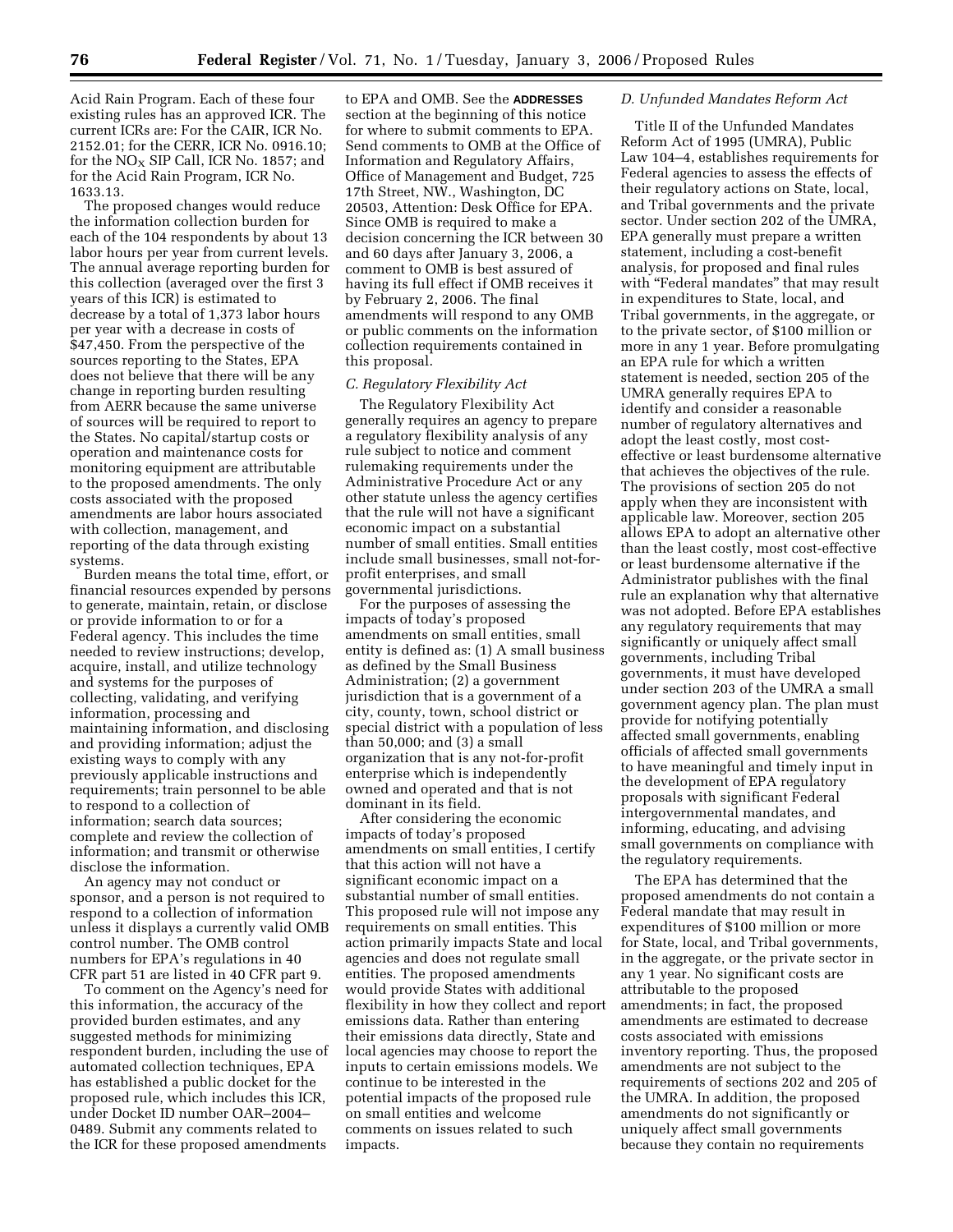Acid Rain Program. Each of these four existing rules has an approved ICR. The current ICRs are: For the CAIR, ICR No. 2152.01; for the CERR, ICR No. 0916.10; for the  $NO<sub>X</sub>$  SIP Call, ICR No. 1857; and for the Acid Rain Program, ICR No. 1633.13.

The proposed changes would reduce the information collection burden for each of the 104 respondents by about 13 labor hours per year from current levels. The annual average reporting burden for this collection (averaged over the first 3 years of this ICR) is estimated to decrease by a total of 1,373 labor hours per year with a decrease in costs of \$47,450. From the perspective of the sources reporting to the States, EPA does not believe that there will be any change in reporting burden resulting from AERR because the same universe of sources will be required to report to the States. No capital/startup costs or operation and maintenance costs for monitoring equipment are attributable to the proposed amendments. The only costs associated with the proposed amendments are labor hours associated with collection, management, and reporting of the data through existing systems.

Burden means the total time, effort, or financial resources expended by persons to generate, maintain, retain, or disclose or provide information to or for a Federal agency. This includes the time needed to review instructions; develop, acquire, install, and utilize technology and systems for the purposes of collecting, validating, and verifying information, processing and maintaining information, and disclosing and providing information; adjust the existing ways to comply with any previously applicable instructions and requirements; train personnel to be able to respond to a collection of information; search data sources; complete and review the collection of information; and transmit or otherwise disclose the information.

An agency may not conduct or sponsor, and a person is not required to respond to a collection of information unless it displays a currently valid OMB control number. The OMB control numbers for EPA's regulations in 40 CFR part 51 are listed in 40 CFR part 9.

To comment on the Agency's need for this information, the accuracy of the provided burden estimates, and any suggested methods for minimizing respondent burden, including the use of automated collection techniques, EPA has established a public docket for the proposed rule, which includes this ICR, under Docket ID number OAR–2004– 0489. Submit any comments related to the ICR for these proposed amendments

to EPA and OMB. See the **ADDRESSES** section at the beginning of this notice for where to submit comments to EPA. Send comments to OMB at the Office of Information and Regulatory Affairs, Office of Management and Budget, 725 17th Street, NW., Washington, DC 20503, Attention: Desk Office for EPA. Since OMB is required to make a decision concerning the ICR between 30 and 60 days after January 3, 2006, a comment to OMB is best assured of having its full effect if OMB receives it by February 2, 2006. The final amendments will respond to any OMB or public comments on the information collection requirements contained in this proposal.

## *C. Regulatory Flexibility Act*

The Regulatory Flexibility Act generally requires an agency to prepare a regulatory flexibility analysis of any rule subject to notice and comment rulemaking requirements under the Administrative Procedure Act or any other statute unless the agency certifies that the rule will not have a significant economic impact on a substantial number of small entities. Small entities include small businesses, small not-forprofit enterprises, and small governmental jurisdictions.

For the purposes of assessing the impacts of today's proposed amendments on small entities, small entity is defined as: (1) A small business as defined by the Small Business Administration; (2) a government jurisdiction that is a government of a city, county, town, school district or special district with a population of less than 50,000; and (3) a small organization that is any not-for-profit enterprise which is independently owned and operated and that is not dominant in its field.

After considering the economic impacts of today's proposed amendments on small entities, I certify that this action will not have a significant economic impact on a substantial number of small entities. This proposed rule will not impose any requirements on small entities. This action primarily impacts State and local agencies and does not regulate small entities. The proposed amendments would provide States with additional flexibility in how they collect and report emissions data. Rather than entering their emissions data directly, State and local agencies may choose to report the inputs to certain emissions models. We continue to be interested in the potential impacts of the proposed rule on small entities and welcome comments on issues related to such impacts.

### *D. Unfunded Mandates Reform Act*

Title II of the Unfunded Mandates Reform Act of 1995 (UMRA), Public Law 104–4, establishes requirements for Federal agencies to assess the effects of their regulatory actions on State, local, and Tribal governments and the private sector. Under section 202 of the UMRA, EPA generally must prepare a written statement, including a cost-benefit analysis, for proposed and final rules with "Federal mandates" that may result in expenditures to State, local, and Tribal governments, in the aggregate, or to the private sector, of \$100 million or more in any 1 year. Before promulgating an EPA rule for which a written statement is needed, section 205 of the UMRA generally requires EPA to identify and consider a reasonable number of regulatory alternatives and adopt the least costly, most costeffective or least burdensome alternative that achieves the objectives of the rule. The provisions of section 205 do not apply when they are inconsistent with applicable law. Moreover, section 205 allows EPA to adopt an alternative other than the least costly, most cost-effective or least burdensome alternative if the Administrator publishes with the final rule an explanation why that alternative was not adopted. Before EPA establishes any regulatory requirements that may significantly or uniquely affect small governments, including Tribal governments, it must have developed under section 203 of the UMRA a small government agency plan. The plan must provide for notifying potentially affected small governments, enabling officials of affected small governments to have meaningful and timely input in the development of EPA regulatory proposals with significant Federal intergovernmental mandates, and informing, educating, and advising small governments on compliance with the regulatory requirements.

The EPA has determined that the proposed amendments do not contain a Federal mandate that may result in expenditures of \$100 million or more for State, local, and Tribal governments, in the aggregate, or the private sector in any 1 year. No significant costs are attributable to the proposed amendments; in fact, the proposed amendments are estimated to decrease costs associated with emissions inventory reporting. Thus, the proposed amendments are not subject to the requirements of sections 202 and 205 of the UMRA. In addition, the proposed amendments do not significantly or uniquely affect small governments because they contain no requirements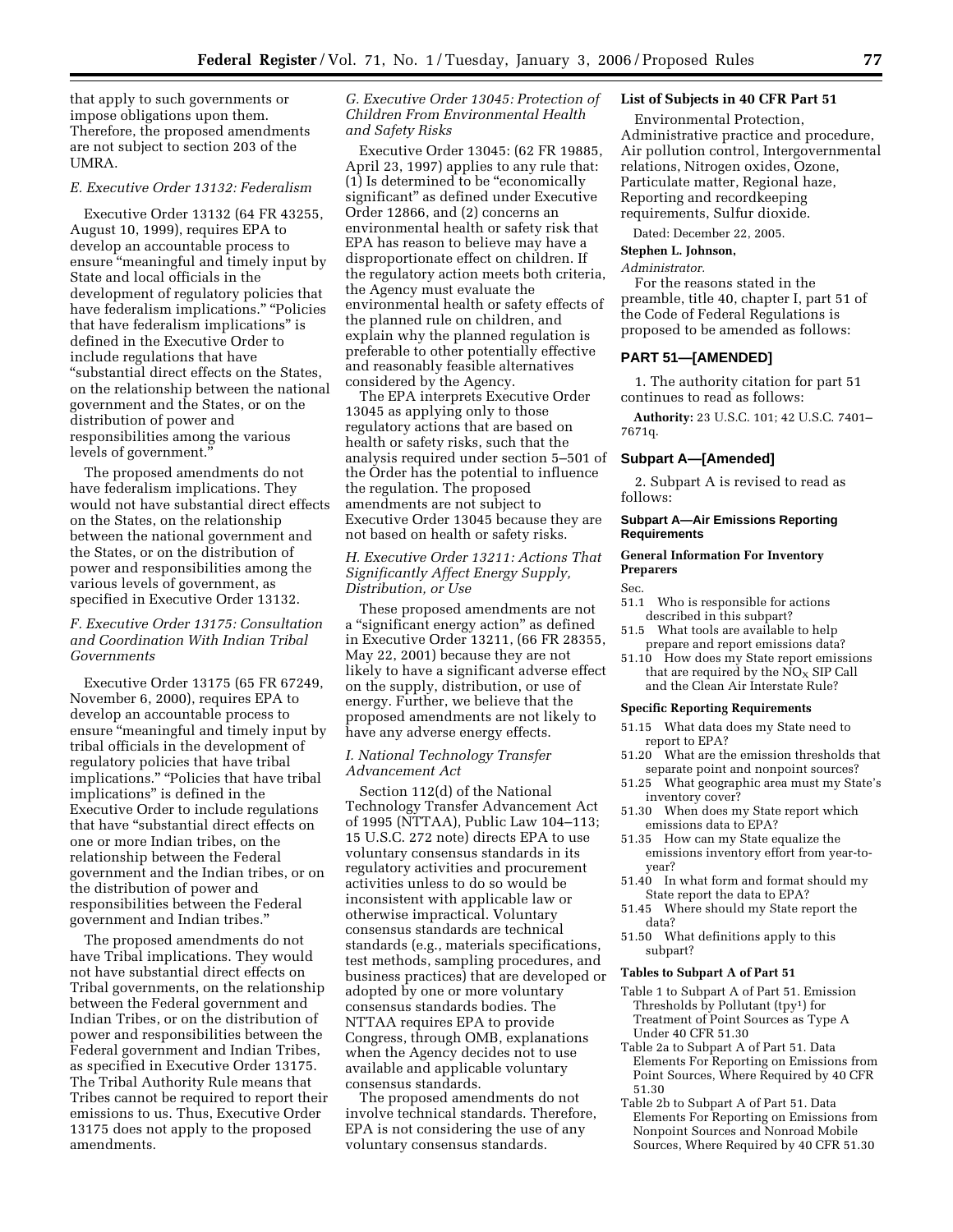that apply to such governments or impose obligations upon them. Therefore, the proposed amendments are not subject to section 203 of the UMRA.

### *E. Executive Order 13132: Federalism*

Executive Order 13132 (64 FR 43255, August 10, 1999), requires EPA to develop an accountable process to ensure "meaningful and timely input by State and local officials in the development of regulatory policies that have federalism implications." "Policies that have federalism implications'' is defined in the Executive Order to include regulations that have ''substantial direct effects on the States, on the relationship between the national government and the States, or on the distribution of power and responsibilities among the various levels of government.''

The proposed amendments do not have federalism implications. They would not have substantial direct effects on the States, on the relationship between the national government and the States, or on the distribution of power and responsibilities among the various levels of government, as specified in Executive Order 13132.

# *F. Executive Order 13175: Consultation and Coordination With Indian Tribal Governments*

Executive Order 13175 (65 FR 67249, November 6, 2000), requires EPA to develop an accountable process to ensure "meaningful and timely input by tribal officials in the development of regulatory policies that have tribal implications." "Policies that have tribal implications'' is defined in the Executive Order to include regulations that have ''substantial direct effects on one or more Indian tribes, on the relationship between the Federal government and the Indian tribes, or on the distribution of power and responsibilities between the Federal government and Indian tribes.''

The proposed amendments do not have Tribal implications. They would not have substantial direct effects on Tribal governments, on the relationship between the Federal government and Indian Tribes, or on the distribution of power and responsibilities between the Federal government and Indian Tribes, as specified in Executive Order 13175. The Tribal Authority Rule means that Tribes cannot be required to report their emissions to us. Thus, Executive Order 13175 does not apply to the proposed amendments.

*G. Executive Order 13045: Protection of Children From Environmental Health and Safety Risks* 

Executive Order 13045: (62 FR 19885, April 23, 1997) applies to any rule that: (1) Is determined to be ''economically significant'' as defined under Executive Order 12866, and (2) concerns an environmental health or safety risk that EPA has reason to believe may have a disproportionate effect on children. If the regulatory action meets both criteria, the Agency must evaluate the environmental health or safety effects of the planned rule on children, and explain why the planned regulation is preferable to other potentially effective and reasonably feasible alternatives considered by the Agency.

The EPA interprets Executive Order 13045 as applying only to those regulatory actions that are based on health or safety risks, such that the analysis required under section 5–501 of the Order has the potential to influence the regulation. The proposed amendments are not subject to Executive Order 13045 because they are not based on health or safety risks.

# *H. Executive Order 13211: Actions That Significantly Affect Energy Supply, Distribution, or Use*

These proposed amendments are not a ''significant energy action'' as defined in Executive Order 13211, (66 FR 28355, May 22, 2001) because they are not likely to have a significant adverse effect on the supply, distribution, or use of energy. Further, we believe that the proposed amendments are not likely to have any adverse energy effects.

# *I. National Technology Transfer Advancement Act*

Section 112(d) of the National Technology Transfer Advancement Act of 1995 (NTTAA), Public Law 104–113; 15 U.S.C. 272 note) directs EPA to use voluntary consensus standards in its regulatory activities and procurement activities unless to do so would be inconsistent with applicable law or otherwise impractical. Voluntary consensus standards are technical standards (e.g., materials specifications, test methods, sampling procedures, and business practices) that are developed or adopted by one or more voluntary consensus standards bodies. The NTTAA requires EPA to provide Congress, through OMB, explanations when the Agency decides not to use available and applicable voluntary consensus standards.

The proposed amendments do not involve technical standards. Therefore, EPA is not considering the use of any voluntary consensus standards.

# **List of Subjects in 40 CFR Part 51**

Environmental Protection, Administrative practice and procedure, Air pollution control, Intergovernmental relations, Nitrogen oxides, Ozone, Particulate matter, Regional haze, Reporting and recordkeeping requirements, Sulfur dioxide.

Dated: December 22, 2005.

# **Stephen L. Johnson,**

### *Administrator.*

For the reasons stated in the preamble, title 40, chapter I, part 51 of the Code of Federal Regulations is proposed to be amended as follows:

# **PART 51—[AMENDED]**

1. The authority citation for part 51 continues to read as follows:

**Authority:** 23 U.S.C. 101; 42 U.S.C. 7401– 7671q.

## **Subpart A—[Amended]**

2. Subpart A is revised to read as follows:

### **Subpart A—Air Emissions Reporting Requirements**

# **General Information For Inventory Preparers**

Sec.

- 51.1 Who is responsible for actions described in this subpart?
- 51.5 What tools are available to help prepare and report emissions data?
- 51.10 How does my State report emissions that are required by the  $NO<sub>x</sub>$  SIP Call and the Clean Air Interstate Rule?

#### **Specific Reporting Requirements**

- 51.15 What data does my State need to report to EPA?
- 51.20 What are the emission thresholds that separate point and nonpoint sources?
- 51.25 What geographic area must my State's inventory cover?
- 51.30 When does my State report which emissions data to EPA?
- 51.35 How can my State equalize the emissions inventory effort from year-toyear?
- 51.40 In what form and format should my State report the data to EPA?
- 51.45 Where should my State report the data?
- 51.50 What definitions apply to this subpart?

# **Tables to Subpart A of Part 51**

- Table 1 to Subpart A of Part 51. Emission Thresholds by Pollutant  $(tpy<sup>1</sup>)$  for Treatment of Point Sources as Type A Under 40 CFR 51.30
- Table 2a to Subpart A of Part 51. Data Elements For Reporting on Emissions from Point Sources, Where Required by 40 CFR 51.30
- Table 2b to Subpart A of Part 51. Data Elements For Reporting on Emissions from Nonpoint Sources and Nonroad Mobile Sources, Where Required by 40 CFR 51.30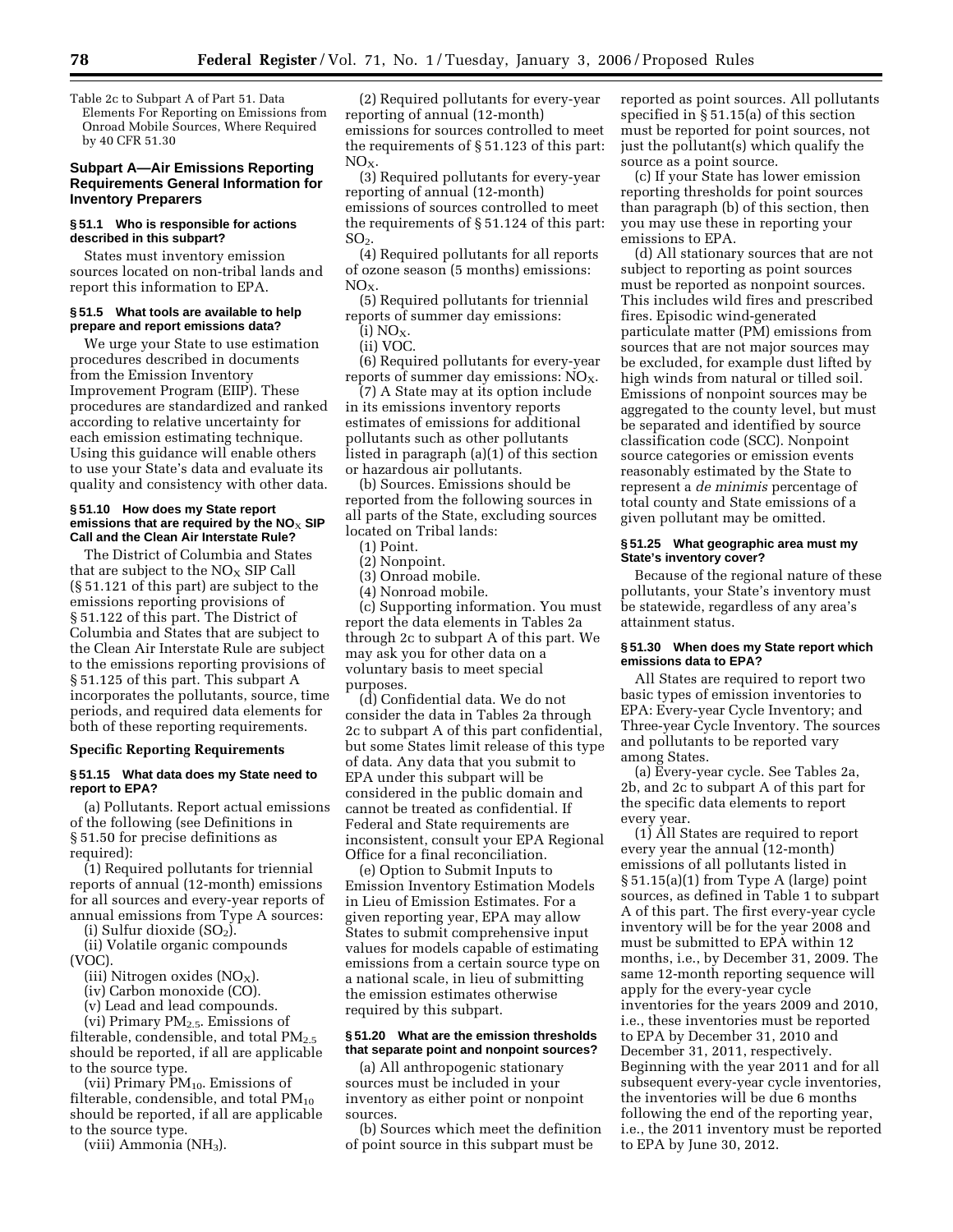Table 2c to Subpart A of Part 51. Data Elements For Reporting on Emissions from Onroad Mobile Sources, Where Required by 40 CFR 51.30

# **Subpart A—Air Emissions Reporting Requirements General Information for Inventory Preparers**

## **§ 51.1 Who is responsible for actions described in this subpart?**

States must inventory emission sources located on non-tribal lands and report this information to EPA.

### **§ 51.5 What tools are available to help prepare and report emissions data?**

We urge your State to use estimation procedures described in documents from the Emission Inventory Improvement Program (EIIP). These procedures are standardized and ranked according to relative uncertainty for each emission estimating technique. Using this guidance will enable others to use your State's data and evaluate its quality and consistency with other data.

### **§ 51.10 How does my State report emissions that are required by the NO**X **SIP Call and the Clean Air Interstate Rule?**

The District of Columbia and States that are subject to the  $NO<sub>X</sub>$  SIP Call (§ 51.121 of this part) are subject to the emissions reporting provisions of § 51.122 of this part. The District of Columbia and States that are subject to the Clean Air Interstate Rule are subject to the emissions reporting provisions of § 51.125 of this part. This subpart A incorporates the pollutants, source, time periods, and required data elements for both of these reporting requirements.

## **Specific Reporting Requirements**

## **§ 51.15 What data does my State need to report to EPA?**

(a) Pollutants. Report actual emissions of the following (see Definitions in § 51.50 for precise definitions as required):

(1) Required pollutants for triennial reports of annual (12-month) emissions for all sources and every-year reports of annual emissions from Type A sources:

(i) Sulfur dioxide  $(SO<sub>2</sub>)$ . (ii) Volatile organic compounds

(VOC).

(iii) Nitrogen oxides (NO<sub>X</sub>).

(iv) Carbon monoxide (CO).

(v) Lead and lead compounds.

(vi) Primary  $PM_{2.5}$ . Emissions of

filterable, condensible, and total  $PM_{2.5}$ should be reported, if all are applicable to the source type.

(vii) Primary  $PM_{10}$ . Emissions of filterable, condensible, and total  $PM_{10}$ should be reported, if all are applicable to the source type.

(viii) Ammonia (NH3).

(2) Required pollutants for every-year reporting of annual (12-month) emissions for sources controlled to meet the requirements of § 51.123 of this part:  $NO<sub>x</sub>$ 

(3) Required pollutants for every-year reporting of annual (12-month) emissions of sources controlled to meet the requirements of § 51.124 of this part: SO2.

(4) Required pollutants for all reports of ozone season (5 months) emissions:  $NO<sub>X</sub>$ 

(5) Required pollutants for triennial reports of summer day emissions:

 $(i) NO<sub>X</sub>$ .

(ii) VOC.

(6) Required pollutants for every-year reports of summer day emissions:  $NO<sub>X</sub>$ .

(7) A State may at its option include in its emissions inventory reports estimates of emissions for additional pollutants such as other pollutants listed in paragraph (a)(1) of this section or hazardous air pollutants.

(b) Sources. Emissions should be reported from the following sources in all parts of the State, excluding sources located on Tribal lands:

(1) Point.

(2) Nonpoint.

(3) Onroad mobile.

(4) Nonroad mobile.

(c) Supporting information. You must report the data elements in Tables 2a through 2c to subpart A of this part. We may ask you for other data on a voluntary basis to meet special purposes.

(d) Confidential data. We do not consider the data in Tables 2a through 2c to subpart A of this part confidential, but some States limit release of this type of data. Any data that you submit to EPA under this subpart will be considered in the public domain and cannot be treated as confidential. If Federal and State requirements are inconsistent, consult your EPA Regional Office for a final reconciliation.

(e) Option to Submit Inputs to Emission Inventory Estimation Models in Lieu of Emission Estimates. For a given reporting year, EPA may allow States to submit comprehensive input values for models capable of estimating emissions from a certain source type on a national scale, in lieu of submitting the emission estimates otherwise required by this subpart.

## **§ 51.20 What are the emission thresholds that separate point and nonpoint sources?**

(a) All anthropogenic stationary sources must be included in your inventory as either point or nonpoint sources.

(b) Sources which meet the definition of point source in this subpart must be

reported as point sources. All pollutants specified in § 51.15(a) of this section must be reported for point sources, not just the pollutant(s) which qualify the source as a point source.

(c) If your State has lower emission reporting thresholds for point sources than paragraph (b) of this section, then you may use these in reporting your emissions to EPA.

(d) All stationary sources that are not subject to reporting as point sources must be reported as nonpoint sources. This includes wild fires and prescribed fires. Episodic wind-generated particulate matter (PM) emissions from sources that are not major sources may be excluded, for example dust lifted by high winds from natural or tilled soil. Emissions of nonpoint sources may be aggregated to the county level, but must be separated and identified by source classification code (SCC). Nonpoint source categories or emission events reasonably estimated by the State to represent a *de minimis* percentage of total county and State emissions of a given pollutant may be omitted.

## **§ 51.25 What geographic area must my State's inventory cover?**

Because of the regional nature of these pollutants, your State's inventory must be statewide, regardless of any area's attainment status.

## **§ 51.30 When does my State report which emissions data to EPA?**

All States are required to report two basic types of emission inventories to EPA: Every-year Cycle Inventory; and Three-year Cycle Inventory. The sources and pollutants to be reported vary among States.

(a) Every-year cycle. See Tables 2a, 2b, and 2c to subpart A of this part for the specific data elements to report every year.

(1) All States are required to report every year the annual (12-month) emissions of all pollutants listed in § 51.15(a)(1) from Type A (large) point sources, as defined in Table 1 to subpart A of this part. The first every-year cycle inventory will be for the year 2008 and must be submitted to EPA within 12 months, i.e., by December 31, 2009. The same 12-month reporting sequence will apply for the every-year cycle inventories for the years 2009 and 2010, i.e., these inventories must be reported to EPA by December 31, 2010 and December 31, 2011, respectively. Beginning with the year 2011 and for all subsequent every-year cycle inventories, the inventories will be due 6 months following the end of the reporting year, i.e., the 2011 inventory must be reported to EPA by June 30, 2012.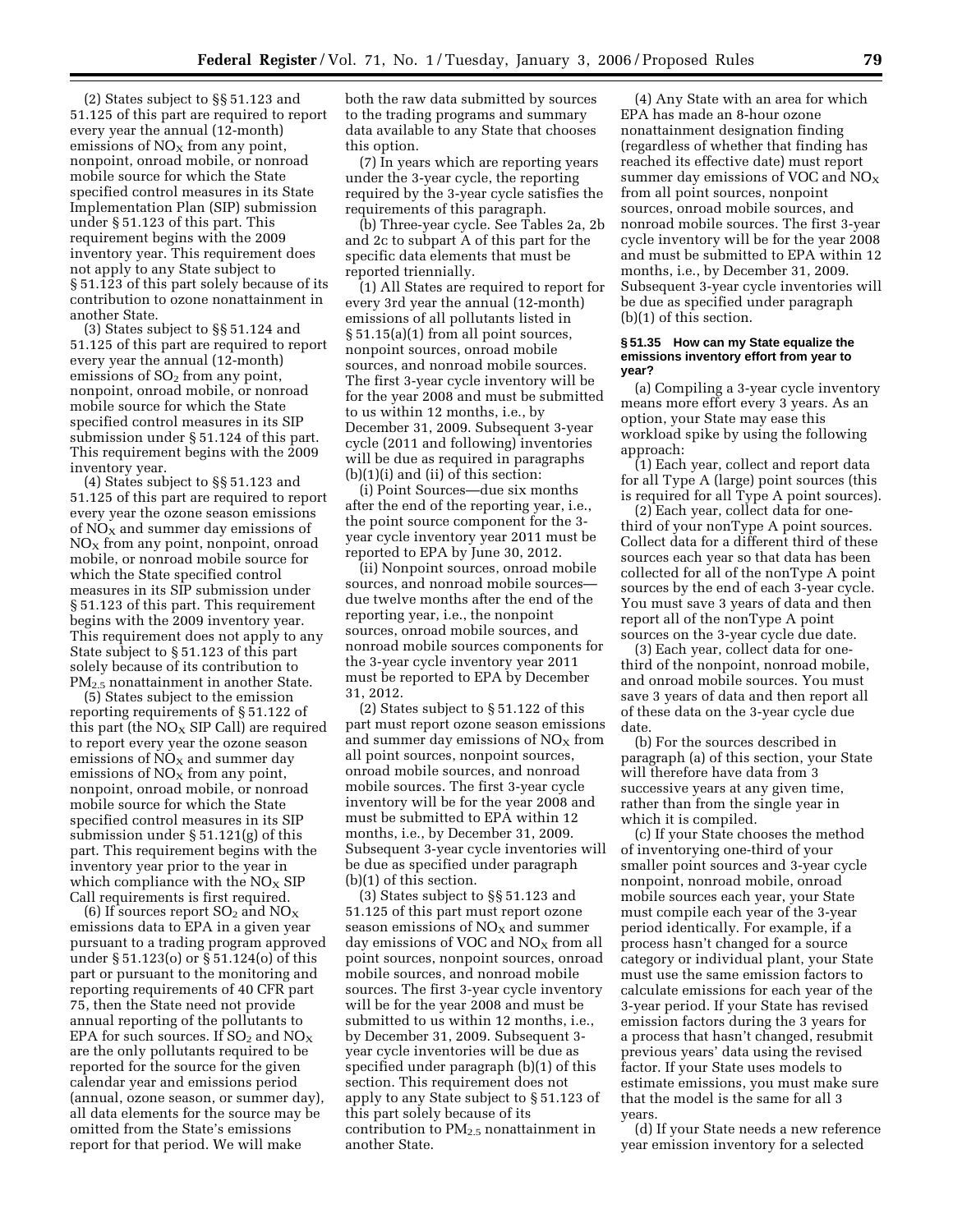(2) States subject to §§ 51.123 and 51.125 of this part are required to report every year the annual (12-month) emissions of  $NO<sub>x</sub>$  from any point, nonpoint, onroad mobile, or nonroad mobile source for which the State specified control measures in its State Implementation Plan (SIP) submission under § 51.123 of this part. This requirement begins with the 2009 inventory year. This requirement does not apply to any State subject to § 51.123 of this part solely because of its contribution to ozone nonattainment in another State.

(3) States subject to §§ 51.124 and 51.125 of this part are required to report every year the annual (12-month) emissions of  $SO<sub>2</sub>$  from any point, nonpoint, onroad mobile, or nonroad mobile source for which the State specified control measures in its SIP submission under § 51.124 of this part. This requirement begins with the 2009 inventory year.

(4) States subject to §§ 51.123 and 51.125 of this part are required to report every year the ozone season emissions of  $NO<sub>x</sub>$  and summer day emissions of  $NO<sub>X</sub>$  from any point, nonpoint, onroad mobile, or nonroad mobile source for which the State specified control measures in its SIP submission under § 51.123 of this part. This requirement begins with the 2009 inventory year. This requirement does not apply to any State subject to § 51.123 of this part solely because of its contribution to PM<sub>2.5</sub> nonattainment in another State.

(5) States subject to the emission reporting requirements of § 51.122 of this part (the  $NO<sub>x</sub>$  SIP Call) are required to report every year the ozone season emissions of  $NO<sub>x</sub>$  and summer day emissions of  $NO<sub>x</sub>$  from any point, nonpoint, onroad mobile, or nonroad mobile source for which the State specified control measures in its SIP submission under § 51.121(g) of this part. This requirement begins with the inventory year prior to the year in which compliance with the  $NO<sub>x</sub>$  SIP Call requirements is first required.

(6) If sources report  $SO_2$  and  $NO_X$ emissions data to EPA in a given year pursuant to a trading program approved under § 51.123(o) or § 51.124(o) of this part or pursuant to the monitoring and reporting requirements of 40 CFR part 75, then the State need not provide annual reporting of the pollutants to EPA for such sources. If  $SO_2$  and  $NO_X$ are the only pollutants required to be reported for the source for the given calendar year and emissions period (annual, ozone season, or summer day), all data elements for the source may be omitted from the State's emissions report for that period. We will make

both the raw data submitted by sources to the trading programs and summary data available to any State that chooses this option.

(7) In years which are reporting years under the 3-year cycle, the reporting required by the 3-year cycle satisfies the requirements of this paragraph.

(b) Three-year cycle. See Tables 2a, 2b and 2c to subpart A of this part for the specific data elements that must be reported triennially.

(1) All States are required to report for every 3rd year the annual (12-month) emissions of all pollutants listed in § 51.15(a)(1) from all point sources, nonpoint sources, onroad mobile sources, and nonroad mobile sources. The first 3-year cycle inventory will be for the year 2008 and must be submitted to us within 12 months, i.e., by December 31, 2009. Subsequent 3-year cycle (2011 and following) inventories will be due as required in paragraphs (b)(1)(i) and (ii) of this section:

(i) Point Sources—due six months after the end of the reporting year, i.e., the point source component for the 3 year cycle inventory year 2011 must be reported to EPA by June 30, 2012.

(ii) Nonpoint sources, onroad mobile sources, and nonroad mobile sources due twelve months after the end of the reporting year, i.e., the nonpoint sources, onroad mobile sources, and nonroad mobile sources components for the 3-year cycle inventory year 2011 must be reported to EPA by December 31, 2012.

(2) States subject to § 51.122 of this part must report ozone season emissions and summer day emissions of  $NO<sub>X</sub>$  from all point sources, nonpoint sources, onroad mobile sources, and nonroad mobile sources. The first 3-year cycle inventory will be for the year 2008 and must be submitted to EPA within 12 months, i.e., by December 31, 2009. Subsequent 3-year cycle inventories will be due as specified under paragraph (b)(1) of this section.

(3) States subject to §§ 51.123 and 51.125 of this part must report ozone season emissions of  $NO<sub>x</sub>$  and summer day emissions of VOC and  $NO<sub>X</sub>$  from all point sources, nonpoint sources, onroad mobile sources, and nonroad mobile sources. The first 3-year cycle inventory will be for the year 2008 and must be submitted to us within 12 months, i.e., by December 31, 2009. Subsequent 3 year cycle inventories will be due as specified under paragraph (b)(1) of this section. This requirement does not apply to any State subject to § 51.123 of this part solely because of its contribution to  $PM<sub>2.5</sub>$  nonattainment in another State.

(4) Any State with an area for which EPA has made an 8-hour ozone nonattainment designation finding (regardless of whether that finding has reached its effective date) must report summer day emissions of VOC and  $NO<sub>x</sub>$ from all point sources, nonpoint sources, onroad mobile sources, and nonroad mobile sources. The first 3-year cycle inventory will be for the year 2008 and must be submitted to EPA within 12 months, i.e., by December 31, 2009. Subsequent 3-year cycle inventories will be due as specified under paragraph (b)(1) of this section.

## **§ 51.35 How can my State equalize the emissions inventory effort from year to year?**

(a) Compiling a 3-year cycle inventory means more effort every 3 years. As an option, your State may ease this workload spike by using the following approach:

(1) Each year, collect and report data for all Type A (large) point sources (this is required for all Type A point sources).

(2) Each year, collect data for onethird of your nonType A point sources. Collect data for a different third of these sources each year so that data has been collected for all of the nonType A point sources by the end of each 3-year cycle. You must save 3 years of data and then report all of the nonType A point sources on the 3-year cycle due date.

(3) Each year, collect data for onethird of the nonpoint, nonroad mobile, and onroad mobile sources. You must save 3 years of data and then report all of these data on the 3-year cycle due date.

(b) For the sources described in paragraph (a) of this section, your State will therefore have data from 3 successive years at any given time, rather than from the single year in which it is compiled.

(c) If your State chooses the method of inventorying one-third of your smaller point sources and 3-year cycle nonpoint, nonroad mobile, onroad mobile sources each year, your State must compile each year of the 3-year period identically. For example, if a process hasn't changed for a source category or individual plant, your State must use the same emission factors to calculate emissions for each year of the 3-year period. If your State has revised emission factors during the 3 years for a process that hasn't changed, resubmit previous years' data using the revised factor. If your State uses models to estimate emissions, you must make sure that the model is the same for all 3 years.

(d) If your State needs a new reference year emission inventory for a selected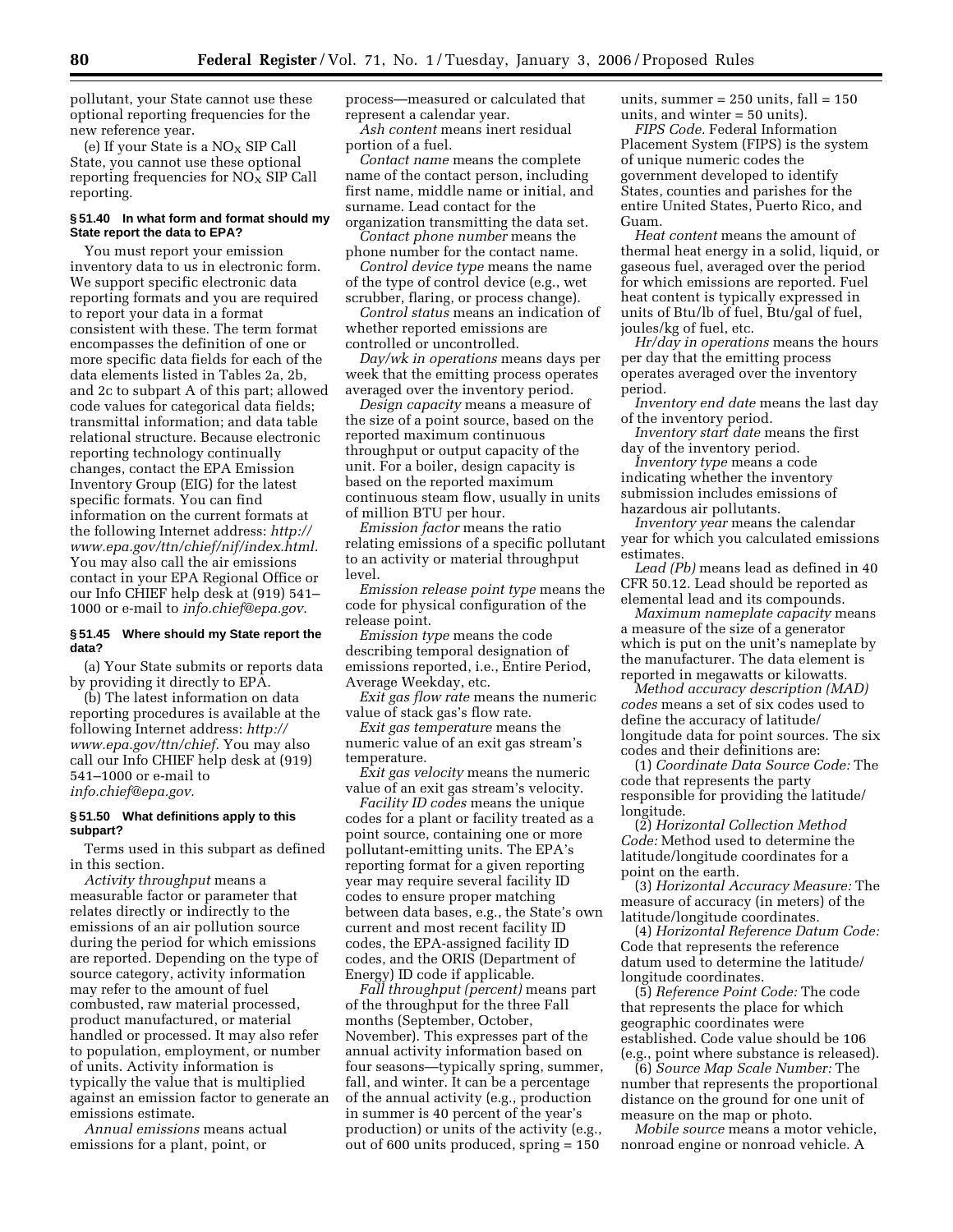pollutant, your State cannot use these optional reporting frequencies for the new reference year.

(e) If your State is a  $NO<sub>x</sub>$  SIP Call State, you cannot use these optional reporting frequencies for  $NO_X \times$  SIP Call reporting.

# **§ 51.40 In what form and format should my State report the data to EPA?**

You must report your emission inventory data to us in electronic form. We support specific electronic data reporting formats and you are required to report your data in a format consistent with these. The term format encompasses the definition of one or more specific data fields for each of the data elements listed in Tables 2a, 2b, and 2c to subpart A of this part; allowed code values for categorical data fields; transmittal information; and data table relational structure. Because electronic reporting technology continually changes, contact the EPA Emission Inventory Group (EIG) for the latest specific formats. You can find information on the current formats at the following Internet address: *http:// www.epa.gov/ttn/chief/nif/index.html.*  You may also call the air emissions contact in your EPA Regional Office or our Info CHIEF help desk at (919) 541– 1000 or e-mail to *info.chief@epa.gov.* 

### **§ 51.45 Where should my State report the data?**

(a) Your State submits or reports data by providing it directly to EPA.

(b) The latest information on data reporting procedures is available at the following Internet address: *http:// www.epa.gov/ttn/chief.* You may also call our Info CHIEF help desk at (919) 541–1000 or e-mail to *info.chief@epa.gov.* 

## **§ 51.50 What definitions apply to this subpart?**

Terms used in this subpart as defined in this section.

*Activity throughput* means a measurable factor or parameter that relates directly or indirectly to the emissions of an air pollution source during the period for which emissions are reported. Depending on the type of source category, activity information may refer to the amount of fuel combusted, raw material processed, product manufactured, or material handled or processed. It may also refer to population, employment, or number of units. Activity information is typically the value that is multiplied against an emission factor to generate an emissions estimate.

*Annual emissions* means actual emissions for a plant, point, or

process—measured or calculated that represent a calendar year.

*Ash content* means inert residual portion of a fuel.

*Contact name* means the complete name of the contact person, including first name, middle name or initial, and surname. Lead contact for the organization transmitting the data set.

*Contact phone number* means the phone number for the contact name.

*Control device type* means the name of the type of control device (e.g., wet scrubber, flaring, or process change).

*Control status* means an indication of whether reported emissions are controlled or uncontrolled.

*Day/wk in operations* means days per week that the emitting process operates averaged over the inventory period.

*Design capacity* means a measure of the size of a point source, based on the reported maximum continuous throughput or output capacity of the unit. For a boiler, design capacity is based on the reported maximum continuous steam flow, usually in units of million BTU per hour.

*Emission factor* means the ratio relating emissions of a specific pollutant to an activity or material throughput level.

*Emission release point type* means the code for physical configuration of the release point.

*Emission type* means the code describing temporal designation of emissions reported, i.e., Entire Period, Average Weekday, etc.

*Exit gas flow rate* means the numeric value of stack gas's flow rate.

*Exit gas temperature* means the numeric value of an exit gas stream's temperature.

*Exit gas velocity* means the numeric value of an exit gas stream's velocity.

*Facility ID codes* means the unique codes for a plant or facility treated as a point source, containing one or more pollutant-emitting units. The EPA's reporting format for a given reporting year may require several facility ID codes to ensure proper matching between data bases, e.g., the State's own current and most recent facility ID codes, the EPA-assigned facility ID codes, and the ORIS (Department of Energy) ID code if applicable.

*Fall throughput (percent)* means part of the throughput for the three Fall months (September, October, November). This expresses part of the annual activity information based on four seasons—typically spring, summer, fall, and winter. It can be a percentage of the annual activity (e.g., production in summer is 40 percent of the year's production) or units of the activity (e.g., out of 600 units produced, spring = 150

units, summer =  $250$  units, fall =  $150$ units, and winter = 50 units).

*FIPS Code.* Federal Information Placement System (FIPS) is the system of unique numeric codes the government developed to identify States, counties and parishes for the entire United States, Puerto Rico, and Guam.

*Heat content* means the amount of thermal heat energy in a solid, liquid, or gaseous fuel, averaged over the period for which emissions are reported. Fuel heat content is typically expressed in units of Btu/lb of fuel, Btu/gal of fuel, joules/kg of fuel, etc.

*Hr/day in operations* means the hours per day that the emitting process operates averaged over the inventory period.

*Inventory end date* means the last day of the inventory period.

*Inventory start date* means the first day of the inventory period.

*Inventory type* means a code indicating whether the inventory submission includes emissions of hazardous air pollutants.

*Inventory year* means the calendar year for which you calculated emissions estimates.

*Lead (Pb)* means lead as defined in 40 CFR 50.12. Lead should be reported as elemental lead and its compounds.

*Maximum nameplate capacity* means a measure of the size of a generator which is put on the unit's nameplate by the manufacturer. The data element is reported in megawatts or kilowatts.

*Method accuracy description (MAD) codes* means a set of six codes used to define the accuracy of latitude/ longitude data for point sources. The six codes and their definitions are:

(1) *Coordinate Data Source Code:* The code that represents the party responsible for providing the latitude/ longitude.

(2) *Horizontal Collection Method Code:* Method used to determine the latitude/longitude coordinates for a point on the earth.

(3) *Horizontal Accuracy Measure:* The measure of accuracy (in meters) of the latitude/longitude coordinates.

(4) *Horizontal Reference Datum Code:*  Code that represents the reference datum used to determine the latitude/ longitude coordinates.

(5) *Reference Point Code:* The code that represents the place for which geographic coordinates were established. Code value should be 106 (e.g., point where substance is released).

(6) *Source Map Scale Number:* The number that represents the proportional distance on the ground for one unit of measure on the map or photo.

*Mobile source* means a motor vehicle, nonroad engine or nonroad vehicle. A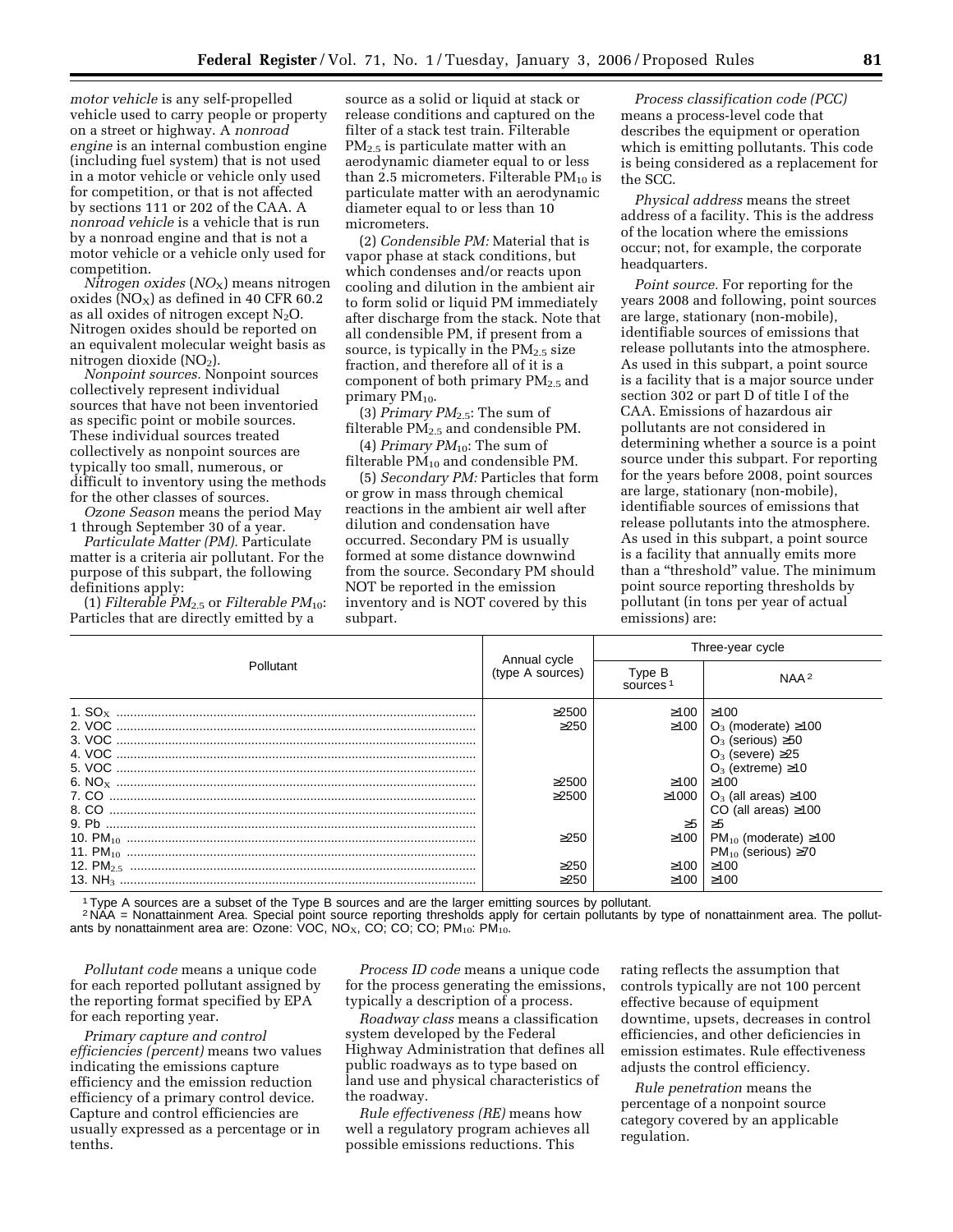*motor vehicle* is any self-propelled vehicle used to carry people or property on a street or highway. A *nonroad engine* is an internal combustion engine (including fuel system) that is not used in a motor vehicle or vehicle only used for competition, or that is not affected by sections 111 or 202 of the CAA. A *nonroad vehicle* is a vehicle that is run by a nonroad engine and that is not a motor vehicle or a vehicle only used for competition.

*Nitrogen oxides* (*NO*X) means nitrogen oxides ( $NO<sub>X</sub>$ ) as defined in 40 CFR 60.2 as all oxides of nitrogen except  $N_2O$ . Nitrogen oxides should be reported on an equivalent molecular weight basis as nitrogen dioxide (NO<sub>2</sub>).

*Nonpoint sources.* Nonpoint sources collectively represent individual sources that have not been inventoried as specific point or mobile sources. These individual sources treated collectively as nonpoint sources are typically too small, numerous, or difficult to inventory using the methods for the other classes of sources.

*Ozone Season* means the period May 1 through September 30 of a year.

*Particulate Matter (PM).* Particulate matter is a criteria air pollutant. For the purpose of this subpart, the following definitions apply:

 $(1)$  *Filterable PM*<sub>2.5</sub> or *Filterable PM*<sub>10</sub>: Particles that are directly emitted by a

source as a solid or liquid at stack or release conditions and captured on the filter of a stack test train. Filterable PM2.5 is particulate matter with an aerodynamic diameter equal to or less than 2.5 micrometers. Filterable  $PM_{10}$  is particulate matter with an aerodynamic diameter equal to or less than 10 micrometers.

(2) *Condensible PM:* Material that is vapor phase at stack conditions, but which condenses and/or reacts upon cooling and dilution in the ambient air to form solid or liquid PM immediately after discharge from the stack. Note that all condensible PM, if present from a source, is typically in the  $PM<sub>2.5</sub> size$ fraction, and therefore all of it is a component of both primary  $PM_{2.5}$  and primary  $PM_{10}$ .

(3) *Primary PM*2.5: The sum of filterable  $PM_{2.5}$  and condensible PM.

(4) *Primary PM*10: The sum of filterable PM10 and condensible PM.

(5) *Secondary PM:* Particles that form or grow in mass through chemical reactions in the ambient air well after dilution and condensation have occurred. Secondary PM is usually formed at some distance downwind from the source. Secondary PM should NOT be reported in the emission inventory and is NOT covered by this subpart.

*Process classification code (PCC)*  means a process-level code that describes the equipment or operation which is emitting pollutants. This code is being considered as a replacement for the SCC.

*Physical address* means the street address of a facility. This is the address of the location where the emissions occur; not, for example, the corporate headquarters.

*Point source.* For reporting for the years 2008 and following, point sources are large, stationary (non-mobile), identifiable sources of emissions that release pollutants into the atmosphere. As used in this subpart, a point source is a facility that is a major source under section 302 or part D of title I of the CAA. Emissions of hazardous air pollutants are not considered in determining whether a source is a point source under this subpart. For reporting for the years before 2008, point sources are large, stationary (non-mobile), identifiable sources of emissions that release pollutants into the atmosphere. As used in this subpart, a point source is a facility that annually emits more than a ''threshold'' value. The minimum point source reporting thresholds by pollutant (in tons per year of actual emissions) are:

|           |                                  | Three-year cycle               |                                                                                      |  |
|-----------|----------------------------------|--------------------------------|--------------------------------------------------------------------------------------|--|
| Pollutant | Annual cycle<br>(type A sources) | Type B<br>sources <sup>1</sup> | NAA <sup>2</sup>                                                                     |  |
|           | >2500<br>>250                    | $\geq 100$                     | ≥100<br>$\geq$ 100   O <sub>3</sub> (moderate) $\geq$ 100                            |  |
|           |                                  |                                | $O_3$ (serious) $\geq 50$<br>$O_3$ (severe) $\geq$ 25                                |  |
|           |                                  |                                | $O_3$ (extreme) $\geq 10$                                                            |  |
|           | >2500<br>>2500                   | $≥100$   $≥100$                | $\geq$ 1000   O <sub>3</sub> (all areas) $\geq$ 100                                  |  |
|           |                                  |                                | CO (all areas) $\geq 100$                                                            |  |
|           |                                  | $\geq 5$                       | ≥5                                                                                   |  |
|           | >250                             |                                | $\geq$ 100   PM <sub>10</sub> (moderate) $\geq$ 100<br>$PM_{10}$ (serious) $\geq 70$ |  |
|           | >250                             | >100                           | >100                                                                                 |  |
|           | >250                             | $\geq 100$                     | ≥100                                                                                 |  |

1Type A sources are a subset of the Type B sources and are the larger emitting sources by pollutant.

2 NAA = Nonattainment Area. Special point source reporting thresholds apply for certain pollutants by type of nonattainment area. The pollutants by nonattainment area are: Ozone: VOC, NO<sub>x</sub>, CO, CO, CO, PM<sub>10</sub>: PM<sub>10</sub>.

*Pollutant code* means a unique code for each reported pollutant assigned by the reporting format specified by EPA for each reporting year.

*Primary capture and control efficiencies (percent)* means two values indicating the emissions capture efficiency and the emission reduction efficiency of a primary control device. Capture and control efficiencies are usually expressed as a percentage or in tenths.

*Process ID code* means a unique code for the process generating the emissions, typically a description of a process.

*Roadway class* means a classification system developed by the Federal Highway Administration that defines all public roadways as to type based on land use and physical characteristics of the roadway.

*Rule effectiveness (RE)* means how well a regulatory program achieves all possible emissions reductions. This

rating reflects the assumption that controls typically are not 100 percent effective because of equipment downtime, upsets, decreases in control efficiencies, and other deficiencies in emission estimates. Rule effectiveness adjusts the control efficiency.

*Rule penetration* means the percentage of a nonpoint source category covered by an applicable regulation.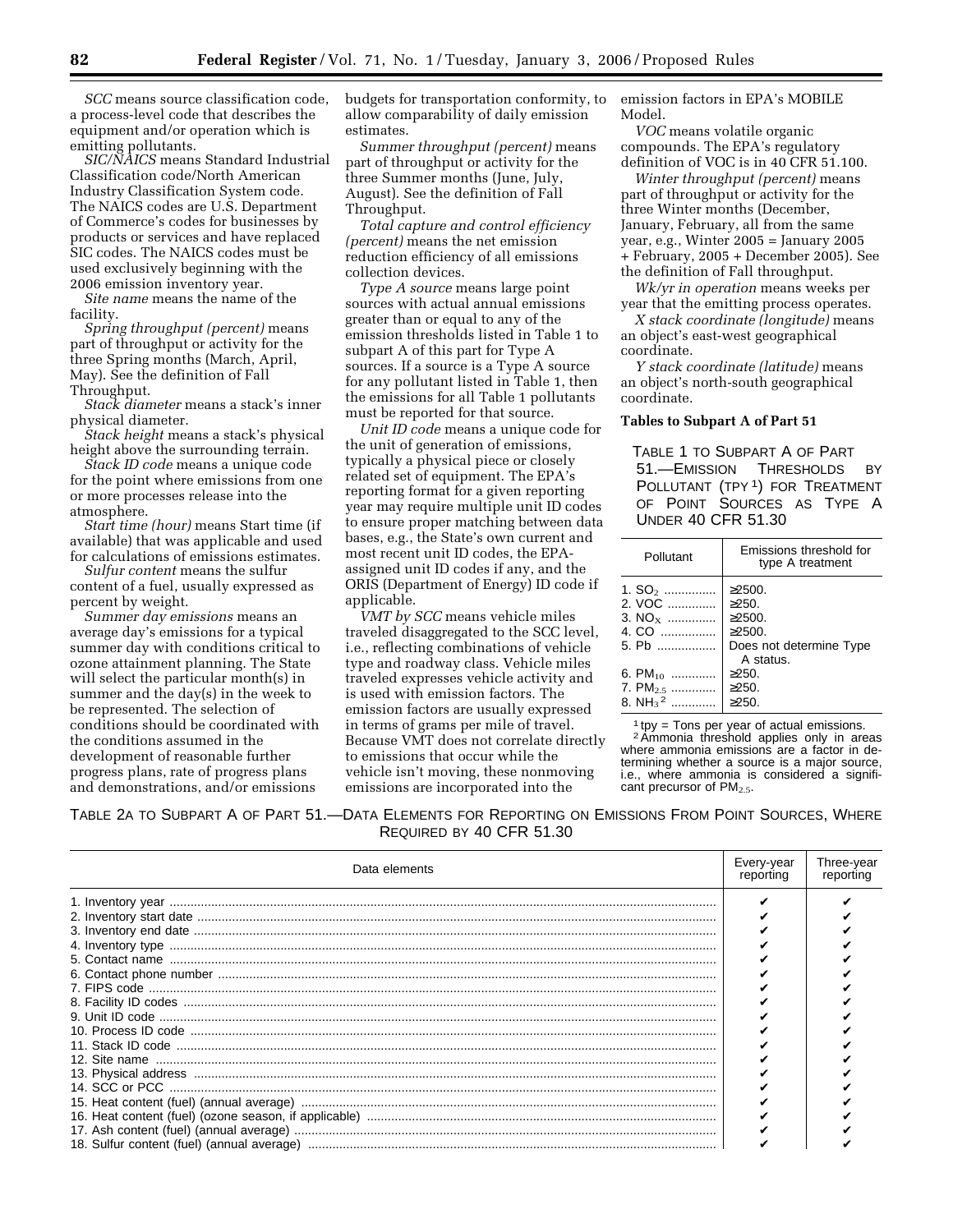*SCC* means source classification code, a process-level code that describes the equipment and/or operation which is emitting pollutants.

*SIC/NAICS* means Standard Industrial Classification code/North American Industry Classification System code. The NAICS codes are U.S. Department of Commerce's codes for businesses by products or services and have replaced SIC codes. The NAICS codes must be used exclusively beginning with the 2006 emission inventory year.

*Site name* means the name of the facility.

*Spring throughput (percent)* means part of throughput or activity for the three Spring months (March, April, May). See the definition of Fall Throughput.

*Stack diameter* means a stack's inner physical diameter.

*Stack height* means a stack's physical height above the surrounding terrain.

*Stack ID code* means a unique code for the point where emissions from one or more processes release into the atmosphere.

*Start time (hour)* means Start time (if available) that was applicable and used for calculations of emissions estimates.

*Sulfur content* means the sulfur content of a fuel, usually expressed as percent by weight.

*Summer day emissions* means an average day's emissions for a typical summer day with conditions critical to ozone attainment planning. The State will select the particular month(s) in summer and the day(s) in the week to be represented. The selection of conditions should be coordinated with the conditions assumed in the development of reasonable further progress plans, rate of progress plans and demonstrations, and/or emissions

budgets for transportation conformity, to allow comparability of daily emission estimates.

*Summer throughput (percent)* means part of throughput or activity for the three Summer months (June, July, August). See the definition of Fall Throughput.

*Total capture and control efficiency (percent)* means the net emission reduction efficiency of all emissions collection devices.

*Type A source* means large point sources with actual annual emissions greater than or equal to any of the emission thresholds listed in Table 1 to subpart A of this part for Type A sources. If a source is a Type A source for any pollutant listed in Table 1, then the emissions for all Table 1 pollutants must be reported for that source.

*Unit ID code* means a unique code for the unit of generation of emissions, typically a physical piece or closely related set of equipment. The EPA's reporting format for a given reporting year may require multiple unit ID codes to ensure proper matching between data bases, e.g., the State's own current and most recent unit ID codes, the EPAassigned unit ID codes if any, and the ORIS (Department of Energy) ID code if applicable.

*VMT by SCC* means vehicle miles traveled disaggregated to the SCC level, i.e., reflecting combinations of vehicle type and roadway class. Vehicle miles traveled expresses vehicle activity and is used with emission factors. The emission factors are usually expressed in terms of grams per mile of travel. Because VMT does not correlate directly to emissions that occur while the vehicle isn't moving, these nonmoving emissions are incorporated into the

emission factors in EPA's MOBILE Model.

*VOC* means volatile organic compounds. The EPA's regulatory definition of VOC is in 40 CFR 51.100.

*Winter throughput (percent)* means part of throughput or activity for the three Winter months (December, January, February, all from the same year, e.g., Winter 2005 = January 2005 + February, 2005 + December 2005). See the definition of Fall throughput.

*Wk/yr in operation* means weeks per year that the emitting process operates.

*X stack coordinate (longitude)* means an object's east-west geographical coordinate.

*Y stack coordinate (latitude)* means an object's north-south geographical coordinate.

# **Tables to Subpart A of Part 51**

TABLE 1 TO SUBPART A OF PART 51.—EMISSION THRESHOLDS BY POLLUTANT (TPY<sup>1</sup>) FOR TREATMENT OF POINT SOURCES AS TYPE A UNDER 40 CFR 51.30

| Pollutant                                                                | Emissions threshold for<br>type A treatment                                |
|--------------------------------------------------------------------------|----------------------------------------------------------------------------|
| 1. $SO_2$<br>2. VOC<br>3. $NO_x$<br>4. CO<br>5. Pb                       | $>2500$ .<br>$>250$ .<br>$>2500$ .<br>$>2500$ .<br>Does not determine Type |
| 6. PM $_{10}$<br>7. PM <sub>2.5</sub><br>8. NH <sub>3</sub> <sup>2</sup> | A status.<br>$\geq$ 250.<br>$\geq$ 250.<br>$>250$ .                        |

1 tpy = Tons per year of actual emissions. 2Ammonia threshold applies only in areas where ammonia emissions are a factor in determining whether a source is a major source, i.e., where ammonia is considered a significant precursor of  $PM_{2.5}$ .

TABLE 2A TO SUBPART A OF PART 51.—DATA ELEMENTS FOR REPORTING ON EMISSIONS FROM POINT SOURCES, WHERE REQUIRED BY 40 CFR 51.30

| Data elements                                                                                                                                                                                        | Every-year<br>reporting | Three-year<br>reporting |
|------------------------------------------------------------------------------------------------------------------------------------------------------------------------------------------------------|-------------------------|-------------------------|
|                                                                                                                                                                                                      |                         |                         |
|                                                                                                                                                                                                      |                         |                         |
|                                                                                                                                                                                                      |                         |                         |
|                                                                                                                                                                                                      |                         |                         |
|                                                                                                                                                                                                      |                         |                         |
| Francisco contact name communication contact phone number contact phone number contact phone number contact phone number contact phone number of $\tau$ . FIPS code contact phone number of $\tau$ . |                         |                         |
|                                                                                                                                                                                                      |                         |                         |
|                                                                                                                                                                                                      |                         |                         |
|                                                                                                                                                                                                      |                         |                         |
|                                                                                                                                                                                                      |                         |                         |
|                                                                                                                                                                                                      |                         |                         |
|                                                                                                                                                                                                      |                         |                         |
|                                                                                                                                                                                                      |                         |                         |
|                                                                                                                                                                                                      |                         |                         |
|                                                                                                                                                                                                      |                         |                         |
|                                                                                                                                                                                                      |                         |                         |
|                                                                                                                                                                                                      |                         |                         |
|                                                                                                                                                                                                      |                         |                         |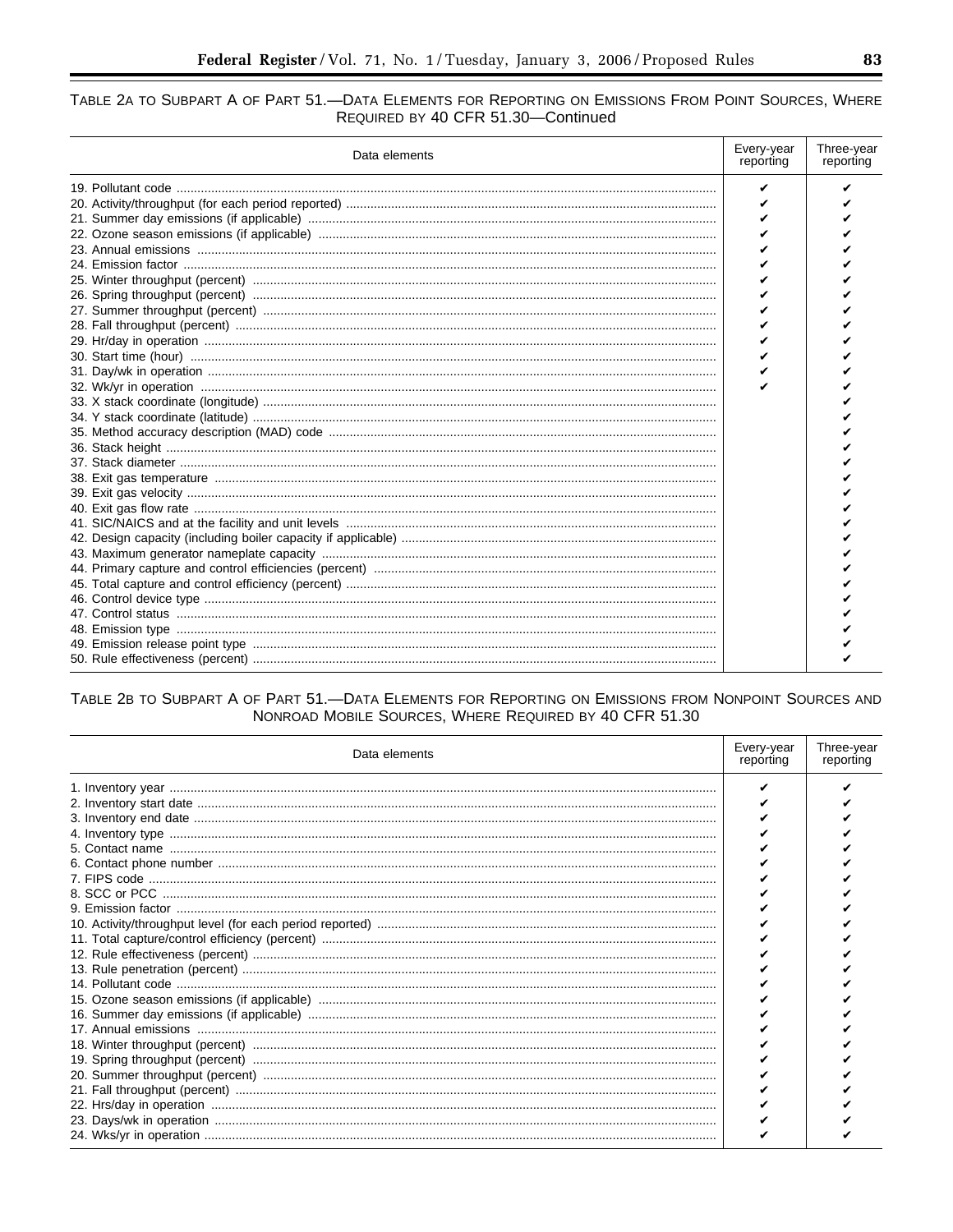# TABLE 2A TO SUBPART A OF PART 51.-DATA ELEMENTS FOR REPORTING ON EMISSIONS FROM POINT SOURCES, WHERE REQUIRED BY 40 CFR 51.30-Continued

| Data elements | Every-year<br>reporting | Three-year<br>reporting |
|---------------|-------------------------|-------------------------|
|               |                         |                         |
|               |                         |                         |
|               |                         |                         |
|               |                         |                         |
|               |                         |                         |
|               |                         |                         |
|               |                         |                         |
|               |                         |                         |
|               |                         |                         |
|               |                         |                         |
|               |                         |                         |
|               |                         |                         |
|               |                         |                         |
|               |                         |                         |
|               |                         |                         |
|               |                         |                         |
|               |                         |                         |
|               |                         |                         |
|               |                         |                         |
|               |                         |                         |
|               |                         |                         |
|               |                         |                         |
|               |                         |                         |
|               |                         |                         |
|               |                         |                         |
|               |                         |                         |
|               |                         |                         |
|               |                         |                         |
|               |                         |                         |
|               |                         |                         |
|               |                         |                         |
|               |                         |                         |

# TABLE 2B TO SUBPART A OF PART 51.- DATA ELEMENTS FOR REPORTING ON EMISSIONS FROM NONPOINT SOURCES AND NONROAD MOBILE SOURCES, WHERE REQUIRED BY 40 CFR 51.30

| Data elements | Every-year<br>reporting | Three-year<br>reporting |
|---------------|-------------------------|-------------------------|
|               |                         |                         |
|               |                         |                         |
|               |                         |                         |
|               |                         |                         |
|               |                         |                         |
|               |                         |                         |
|               |                         |                         |
|               |                         |                         |
|               |                         |                         |
|               |                         |                         |
|               |                         |                         |
|               |                         |                         |
|               |                         |                         |
|               |                         |                         |
|               |                         |                         |
|               |                         |                         |
|               |                         |                         |
|               |                         |                         |
|               |                         |                         |
|               |                         |                         |
|               |                         |                         |
|               |                         |                         |
|               |                         |                         |
|               |                         |                         |